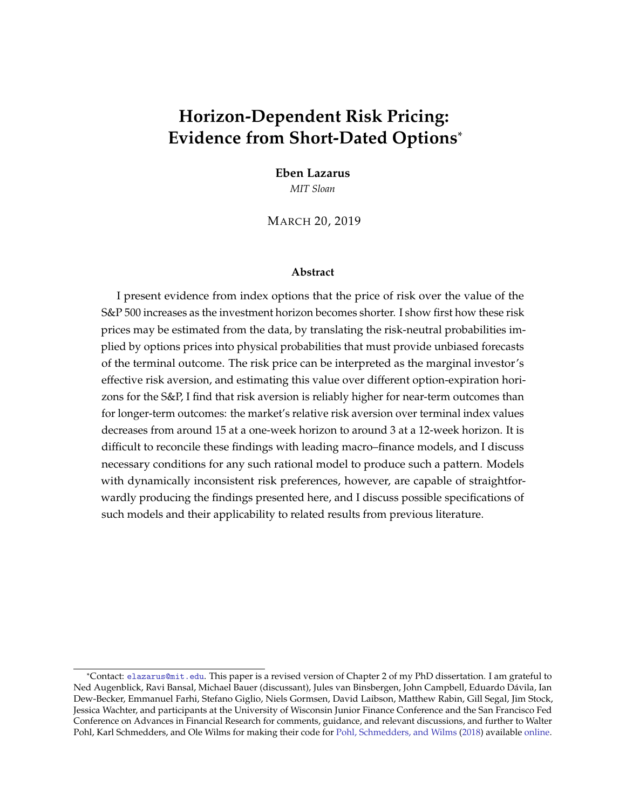# **Horizon-Dependent Risk Pricing: Evidence from Short-Dated Options**\*

**Eben Lazarus** *MIT Sloan*

MARCH 20, 2019

#### **Abstract**

I present evidence from index options that the price of risk over the value of the S&P 500 increases as the investment horizon becomes shorter. I show first how these risk prices may be estimated from the data, by translating the risk-neutral probabilities implied by options prices into physical probabilities that must provide unbiased forecasts of the terminal outcome. The risk price can be interpreted as the marginal investor's effective risk aversion, and estimating this value over different option-expiration horizons for the S&P, I find that risk aversion is reliably higher for near-term outcomes than for longer-term outcomes: the market's relative risk aversion over terminal index values decreases from around 15 at a one-week horizon to around 3 at a 12-week horizon. It is difficult to reconcile these findings with leading macro–finance models, and I discuss necessary conditions for any such rational model to produce such a pattern. Models with dynamically inconsistent risk preferences, however, are capable of straightforwardly producing the findings presented here, and I discuss possible specifications of such models and their applicability to related results from previous literature.

<sup>\*</sup>Contact: [elazarus@mit.edu](mailto:elazarus@mit.edu). This paper is a revised version of Chapter 2 of my PhD dissertation. I am grateful to Ned Augenblick, Ravi Bansal, Michael Bauer (discussant), Jules van Binsbergen, John Campbell, Eduardo Dávila, Ian Dew-Becker, Emmanuel Farhi, Stefano Giglio, Niels Gormsen, David Laibson, Matthew Rabin, Gill Segal, Jim Stock, Jessica Wachter, and participants at the University of Wisconsin Junior Finance Conference and the San Francisco Fed Conference on Advances in Financial Research for comments, guidance, and relevant discussions, and further to Walter Pohl, Karl Schmedders, and Ole Wilms for making their code for [Pohl, Schmedders, and Wilms](#page-25-0) [\(2018\)](#page-25-0) available [online.](https://onlinelibrary.wiley.com/action/downloadSupplement?doi=10.1111%2Fjofi.12615&attachmentId=2193187742)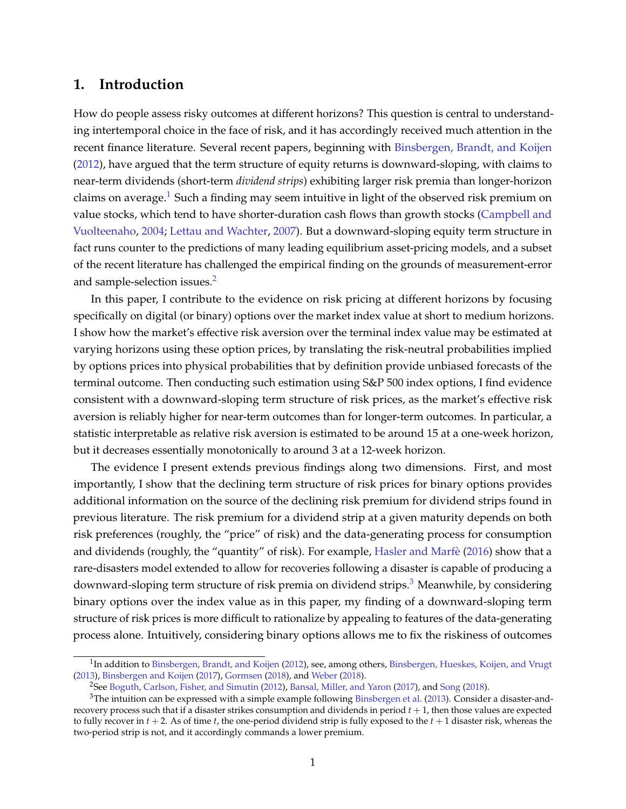# **1. Introduction**

How do people assess risky outcomes at different horizons? This question is central to understanding intertemporal choice in the face of risk, and it has accordingly received much attention in the recent finance literature. Several recent papers, beginning with [Binsbergen, Brandt, and Koijen](#page-23-0) [\(2012\)](#page-23-0), have argued that the term structure of equity returns is downward-sloping, with claims to near-term dividends (short-term *dividend strips*) exhibiting larger risk premia than longer-horizon claims on average.<sup>[1](#page-1-0)</sup> Such a finding may seem intuitive in light of the observed risk premium on value stocks, which tend to have shorter-duration cash flows than growth stocks [\(Campbell and](#page-24-0) [Vuolteenaho,](#page-24-0) [2004;](#page-24-0) [Lettau and Wachter,](#page-25-1) [2007\)](#page-25-1). But a downward-sloping equity term structure in fact runs counter to the predictions of many leading equilibrium asset-pricing models, and a subset of the recent literature has challenged the empirical finding on the grounds of measurement-error and sample-selection issues.<sup>[2](#page-1-1)</sup>

In this paper, I contribute to the evidence on risk pricing at different horizons by focusing specifically on digital (or binary) options over the market index value at short to medium horizons. I show how the market's effective risk aversion over the terminal index value may be estimated at varying horizons using these option prices, by translating the risk-neutral probabilities implied by options prices into physical probabilities that by definition provide unbiased forecasts of the terminal outcome. Then conducting such estimation using S&P 500 index options, I find evidence consistent with a downward-sloping term structure of risk prices, as the market's effective risk aversion is reliably higher for near-term outcomes than for longer-term outcomes. In particular, a statistic interpretable as relative risk aversion is estimated to be around 15 at a one-week horizon, but it decreases essentially monotonically to around 3 at a 12-week horizon.

The evidence I present extends previous findings along two dimensions. First, and most importantly, I show that the declining term structure of risk prices for binary options provides additional information on the source of the declining risk premium for dividend strips found in previous literature. The risk premium for a dividend strip at a given maturity depends on both risk preferences (roughly, the "price" of risk) and the data-generating process for consumption and dividends (roughly, the "quantity" of risk). For example, Hasler and Marfè [\(2016\)](#page-24-1) show that a rare-disasters model extended to allow for recoveries following a disaster is capable of producing a downward-sloping term structure of risk premia on dividend strips.<sup>[3](#page-1-2)</sup> Meanwhile, by considering binary options over the index value as in this paper, my finding of a downward-sloping term structure of risk prices is more difficult to rationalize by appealing to features of the data-generating process alone. Intuitively, considering binary options allows me to fix the riskiness of outcomes

<span id="page-1-0"></span> $^1$ In addition to [Binsbergen, Brandt, and Koijen](#page-23-0) [\(2012\)](#page-23-0), see, among others, [Binsbergen, Hueskes, Koijen, and Vrugt](#page-23-1) [\(2013\)](#page-23-1), [Binsbergen and Koijen](#page-23-2) [\(2017\)](#page-23-2), [Gormsen](#page-24-2) [\(2018\)](#page-24-2), and [Weber](#page-25-2) [\(2018\)](#page-25-2).

<span id="page-1-2"></span><span id="page-1-1"></span><sup>2</sup>See [Boguth, Carlson, Fisher, and Simutin](#page-23-3) [\(2012\)](#page-23-3), [Bansal, Miller, and Yaron](#page-23-4) [\(2017\)](#page-23-4), and [Song](#page-25-3) [\(2018\)](#page-25-3).

 $3$ The intuition can be expressed with a simple example following [Binsbergen et al.](#page-23-1) [\(2013\)](#page-23-1). Consider a disaster-andrecovery process such that if a disaster strikes consumption and dividends in period  $t + 1$ , then those values are expected to fully recover in  $t + 2$ . As of time  $t$ , the one-period dividend strip is fully exposed to the  $t + 1$  disaster risk, whereas the two-period strip is not, and it accordingly commands a lower premium.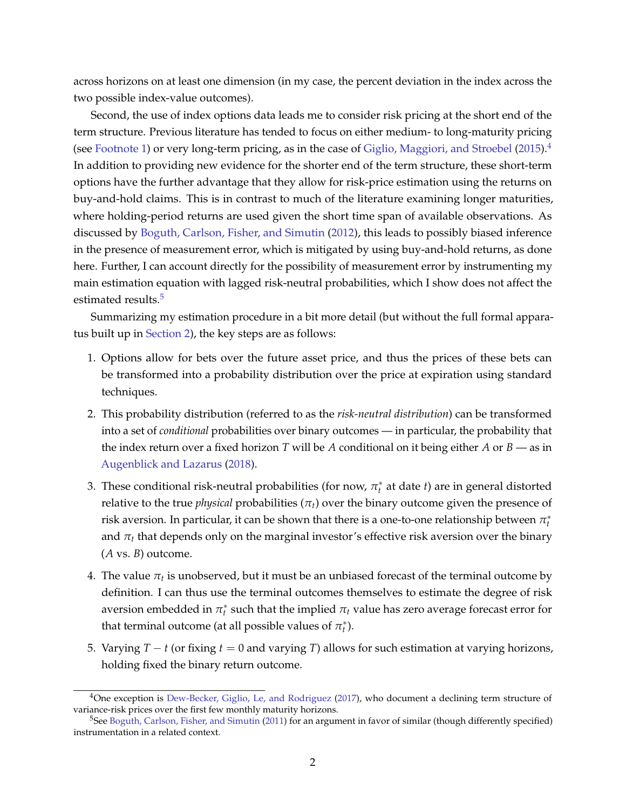across horizons on at least one dimension (in my case, the percent deviation in the index across the two possible index-value outcomes).

Second, the use of index options data leads me to consider risk pricing at the short end of the term structure. Previous literature has tended to focus on either medium- to long-maturity pricing (see [Footnote 1\)](#page-1-0) or very long-term pricing, as in the case of [Giglio, Maggiori, and Stroebel](#page-24-3) [\(2015\)](#page-24-3).<sup>[4](#page-2-0)</sup> In addition to providing new evidence for the shorter end of the term structure, these short-term options have the further advantage that they allow for risk-price estimation using the returns on buy-and-hold claims. This is in contrast to much of the literature examining longer maturities, where holding-period returns are used given the short time span of available observations. As discussed by [Boguth, Carlson, Fisher, and Simutin](#page-23-3) [\(2012\)](#page-23-3), this leads to possibly biased inference in the presence of measurement error, which is mitigated by using buy-and-hold returns, as done here. Further, I can account directly for the possibility of measurement error by instrumenting my main estimation equation with lagged risk-neutral probabilities, which I show does not affect the estimated results.<sup>[5](#page-2-1)</sup>

Summarizing my estimation procedure in a bit more detail (but without the full formal apparatus built up in [Section 2\)](#page-4-0), the key steps are as follows:

- 1. Options allow for bets over the future asset price, and thus the prices of these bets can be transformed into a probability distribution over the price at expiration using standard techniques.
- 2. This probability distribution (referred to as the *risk-neutral distribution*) can be transformed into a set of *conditional* probabilities over binary outcomes — in particular, the probability that the index return over a fixed horizon *T* will be *A* conditional on it being either *A* or *B* — as in [Augenblick and Lazarus](#page-23-5) [\(2018\)](#page-23-5).
- 3. These conditional risk-neutral probabilities (for now,  $\pi_t^*$  at date *t*) are in general distorted relative to the true *physical* probabilities ( $\pi$ <sup>*t*</sup>) over the binary outcome given the presence of risk aversion. In particular, it can be shown that there is a one-to-one relationship between  $\pi_t^*$ and  $\pi_t$  that depends only on the marginal investor's effective risk aversion over the binary (*A* vs. *B*) outcome.
- <span id="page-2-2"></span>4. The value  $\pi_t$  is unobserved, but it must be an unbiased forecast of the terminal outcome by definition. I can thus use the terminal outcomes themselves to estimate the degree of risk aversion embedded in  $\pi_t^*$  such that the implied  $\pi_t$  value has zero average forecast error for that terminal outcome (at all possible values of  $\pi_t^*$ ).
- 5. Varying *T* − *t* (or fixing *t* = 0 and varying *T*) allows for such estimation at varying horizons, holding fixed the binary return outcome.

<span id="page-2-0"></span> $4$ One exception is [Dew-Becker, Giglio, Le, and Rodriguez](#page-24-4) [\(2017\)](#page-24-4), who document a declining term structure of variance-risk prices over the first few monthly maturity horizons.

<span id="page-2-1"></span> $5$ See [Boguth, Carlson, Fisher, and Simutin](#page-23-6) [\(2011\)](#page-23-6) for an argument in favor of similar (though differently specified) instrumentation in a related context.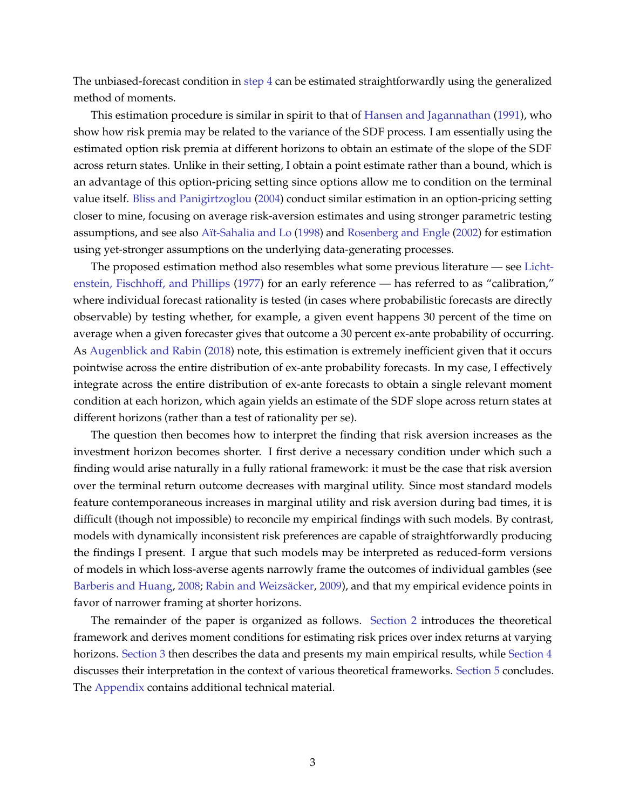The unbiased-forecast condition in [step](#page-2-2) [4](#page-2-2) can be estimated straightforwardly using the generalized method of moments.

This estimation procedure is similar in spirit to that of [Hansen and Jagannathan](#page-24-5) [\(1991\)](#page-24-5), who show how risk premia may be related to the variance of the SDF process. I am essentially using the estimated option risk premia at different horizons to obtain an estimate of the slope of the SDF across return states. Unlike in their setting, I obtain a point estimate rather than a bound, which is an advantage of this option-pricing setting since options allow me to condition on the terminal value itself. [Bliss and Panigirtzoglou](#page-23-7) [\(2004\)](#page-23-7) conduct similar estimation in an option-pricing setting closer to mine, focusing on average risk-aversion estimates and using stronger parametric testing assumptions, and see also Aït-Sahalia and Lo [\(1998\)](#page-23-8) and [Rosenberg and Engle](#page-25-4) [\(2002\)](#page-25-4) for estimation using yet-stronger assumptions on the underlying data-generating processes.

The proposed estimation method also resembles what some previous literature — see [Licht](#page-25-5)[enstein, Fischhoff, and Phillips](#page-25-5) [\(1977\)](#page-25-5) for an early reference — has referred to as "calibration," where individual forecast rationality is tested (in cases where probabilistic forecasts are directly observable) by testing whether, for example, a given event happens 30 percent of the time on average when a given forecaster gives that outcome a 30 percent ex-ante probability of occurring. As [Augenblick and Rabin](#page-23-9) [\(2018\)](#page-23-9) note, this estimation is extremely inefficient given that it occurs pointwise across the entire distribution of ex-ante probability forecasts. In my case, I effectively integrate across the entire distribution of ex-ante forecasts to obtain a single relevant moment condition at each horizon, which again yields an estimate of the SDF slope across return states at different horizons (rather than a test of rationality per se).

The question then becomes how to interpret the finding that risk aversion increases as the investment horizon becomes shorter. I first derive a necessary condition under which such a finding would arise naturally in a fully rational framework: it must be the case that risk aversion over the terminal return outcome decreases with marginal utility. Since most standard models feature contemporaneous increases in marginal utility and risk aversion during bad times, it is difficult (though not impossible) to reconcile my empirical findings with such models. By contrast, models with dynamically inconsistent risk preferences are capable of straightforwardly producing the findings I present. I argue that such models may be interpreted as reduced-form versions of models in which loss-averse agents narrowly frame the outcomes of individual gambles (see [Barberis and Huang,](#page-23-10) [2008;](#page-23-10) Rabin and Weizsäcker, [2009\)](#page-25-6), and that my empirical evidence points in favor of narrower framing at shorter horizons.

The remainder of the paper is organized as follows. [Section 2](#page-4-0) introduces the theoretical framework and derives moment conditions for estimating risk prices over index returns at varying horizons. [Section 3](#page-9-0) then describes the data and presents my main empirical results, while [Section 4](#page-12-0) discusses their interpretation in the context of various theoretical frameworks. [Section 5](#page-17-0) concludes. The [Appendix](#page-18-0) contains additional technical material.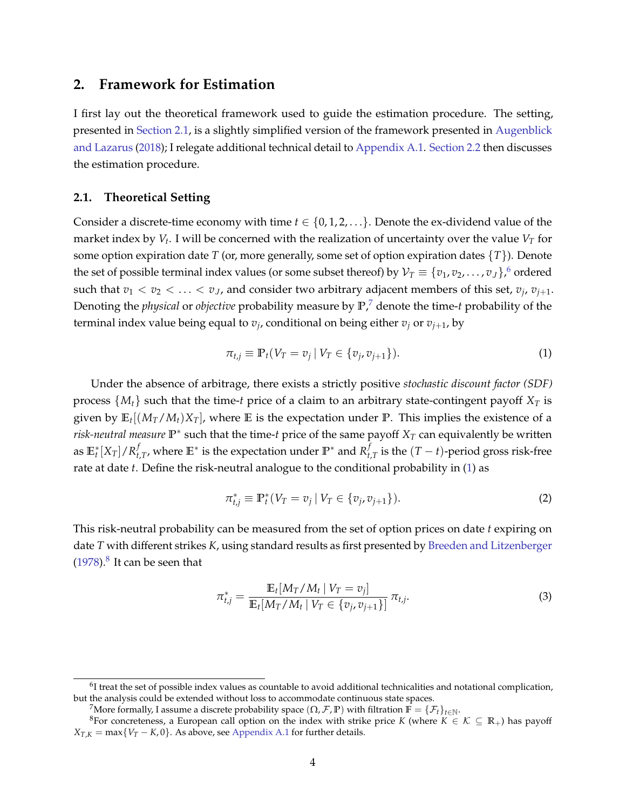## <span id="page-4-0"></span>**2. Framework for Estimation**

I first lay out the theoretical framework used to guide the estimation procedure. The setting, presented in [Section 2.1,](#page-4-1) is a slightly simplified version of the framework presented in [Augenblick](#page-23-5) [and Lazarus](#page-23-5) [\(2018\)](#page-23-5); I relegate additional technical detail to [Appendix A.1.](#page-18-1) [Section 2.2](#page-6-0) then discusses the estimation procedure.

### <span id="page-4-1"></span>**2.1. Theoretical Setting**

Consider a discrete-time economy with time  $t \in \{0, 1, 2, \ldots\}$ . Denote the ex-dividend value of the market index by *V<sup>t</sup>* . I will be concerned with the realization of uncertainty over the value *V<sup>T</sup>* for some option expiration date *T* (or, more generally, some set of option expiration dates {*T*}). Denote the set of possible terminal index values (or some subset thereof) by  $\mathcal{V}_T\equiv\{v_1,v_2,\ldots,v_J\},$   $^6$  $^6$  ordered such that  $v_1 < v_2 < \ldots < v_J$ , and consider two arbitrary adjacent members of this set,  $v_j$ ,  $v_{j+1}$ . Denoting the *physical* or *objective* probability measure by **P**, [7](#page-4-3) denote the time-*t* probability of the terminal index value being equal to *v<sup>j</sup>* , conditional on being either *v<sup>j</sup>* or *vj*+1, by

<span id="page-4-4"></span>
$$
\pi_{t,j} \equiv \mathbb{P}_t(V_T = v_j \,|\, V_T \in \{v_j, v_{j+1}\}).\tag{1}
$$

Under the absence of arbitrage, there exists a strictly positive *stochastic discount factor (SDF)* process  $\{M_t\}$  such that the time-*t* price of a claim to an arbitrary state-contingent payoff  $X_T$  is given by **E***<sup>t</sup>* [(*MT*/*Mt*)*XT*], where **E** is the expectation under **P**. This implies the existence of a *risk-neutral measure*  $\mathbb{P}^*$  such that the time-*t* price of the same payoff  $X_T$  can equivalently be written as  $\mathbb{E}_t^* [X_T]/R_t^f$ *f*<sub>*t,T</sub>, where*  $\mathbb{E}$ *\* is the expectation under*  $\mathbb{P}$ *\* and*  $R_t^f$ *</sub>*  $\int_{t,T}^{t}$  is the  $(T-t)$ -period gross risk-free rate at date *t*. Define the risk-neutral analogue to the conditional probability in [\(1\)](#page-4-4) as

<span id="page-4-6"></span>
$$
\pi_{t,j}^* \equiv \mathbb{P}_t^*(V_T = v_j \mid V_T \in \{v_j, v_{j+1}\}).
$$
\n(2)

This risk-neutral probability can be measured from the set of option prices on date *t* expiring on date *T* with different strikes *K*, using standard results as first presented by [Breeden and Litzenberger](#page-23-11)  $(1978).<sup>8</sup>$  $(1978).<sup>8</sup>$  $(1978).<sup>8</sup>$  $(1978).<sup>8</sup>$  It can be seen that

<span id="page-4-7"></span>
$$
\pi_{t,j}^* = \frac{\mathbb{E}_t[M_T/M_t | V_T = v_j]}{\mathbb{E}_t[M_T/M_t | V_T \in \{v_j, v_{j+1}\}]}\,\pi_{t,j}.\tag{3}
$$

<span id="page-4-2"></span> $6$ I treat the set of possible index values as countable to avoid additional technicalities and notational complication, but the analysis could be extended without loss to accommodate continuous state spaces.

<span id="page-4-5"></span><span id="page-4-3"></span><sup>&</sup>lt;sup>7</sup>More formally, I assume a discrete probability space  $(\Omega, \mathcal{F}, \mathbb{P})$  with filtration  $\mathbb{F} = {\{\mathcal{F}_t\}}_{t \in \mathbb{N}}$ .

<sup>&</sup>lt;sup>8</sup>For concreteness, a European call option on the index with strike price *K* (where  $K \in \mathcal{K} \subseteq \mathbb{R}_+$ ) has payoff  $X_{T,K}$  = max $\{V_T - K, 0\}$ . As above, see [Appendix A.1](#page-18-1) for further details.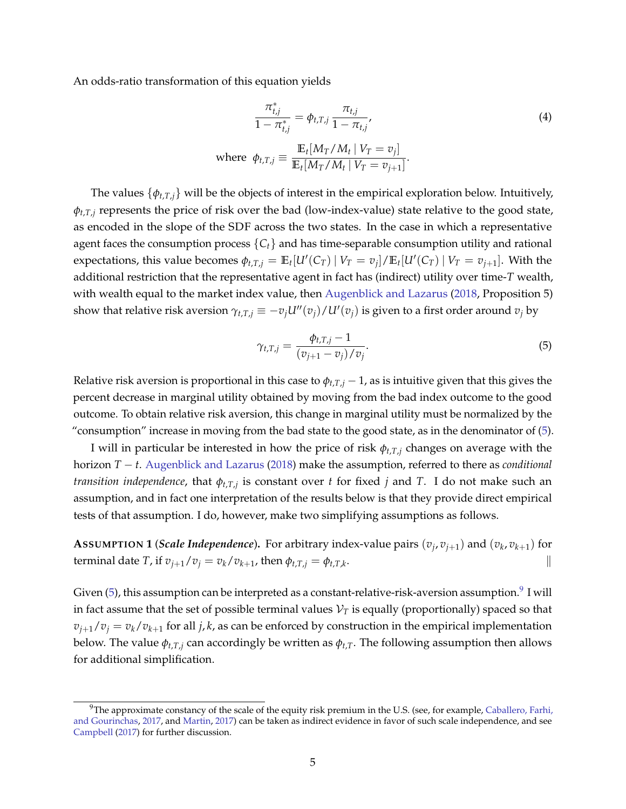An odds-ratio transformation of this equation yields

<span id="page-5-2"></span>
$$
\frac{\pi_{t,j}^*}{1 - \pi_{t,j}^*} = \phi_{t,T,j} \frac{\pi_{t,j}}{1 - \pi_{t,j}},
$$
\n
$$
\text{where } \phi_{t,T,j} \equiv \frac{\mathbb{E}_t[M_T/M_t \mid V_T = v_j]}{\mathbb{E}_t[M_T/M_t \mid V_T = v_{j+1}]}.
$$
\n(4)

The values  $\{\phi_{t,T,i}\}$  will be the objects of interest in the empirical exploration below. Intuitively, *φt*,*T*,*<sup>j</sup>* represents the price of risk over the bad (low-index-value) state relative to the good state, as encoded in the slope of the SDF across the two states. In the case in which a representative agent faces the consumption process {*Ct*} and has time-separable consumption utility and rational expectations, this value becomes  $\phi_{t,T,j} = \mathbb{E}_t[U'(C_T) | V_T = v_j]/\mathbb{E}_t[U'(C_T) | V_T = v_{j+1}]$ . With the additional restriction that the representative agent in fact has (indirect) utility over time-*T* wealth, with wealth equal to the market index value, then [Augenblick and Lazarus](#page-23-5) [\(2018,](#page-23-5) Proposition 5) show that relative risk aversion  $\gamma_{t,T,j} \equiv -v_j U''(v_j)/U'(v_j)$  is given to a first order around  $v_j$  by

<span id="page-5-0"></span>
$$
\gamma_{t,T,j} = \frac{\phi_{t,T,j} - 1}{(v_{j+1} - v_j)/v_j}.
$$
\n(5)

Relative risk aversion is proportional in this case to  $\phi_{t,T,j}$  – 1, as is intuitive given that this gives the percent decrease in marginal utility obtained by moving from the bad index outcome to the good outcome. To obtain relative risk aversion, this change in marginal utility must be normalized by the "consumption" increase in moving from the bad state to the good state, as in the denominator of [\(5\)](#page-5-0).

I will in particular be interested in how the price of risk  $\phi_{t,T,i}$  changes on average with the horizon *T* − *t*. [Augenblick and Lazarus](#page-23-5) [\(2018\)](#page-23-5) make the assumption, referred to there as *conditional transition independence*, that *φt*,*T*,*<sup>j</sup>* is constant over *t* for fixed *j* and *T*. I do not make such an assumption, and in fact one interpretation of the results below is that they provide direct empirical tests of that assumption. I do, however, make two simplifying assumptions as follows.

<span id="page-5-3"></span>**A**SSUMPTION 1 (*Scale Independence*). For arbitrary index-value pairs  $(v_j, v_{j+1})$  and  $(v_k, v_{k+1})$  for terminal date *T*, if  $v_{j+1}/v_j = v_k/v_{k+1}$ , then  $\phi_{t,T,j} = \phi_{t,T,k}$ . The contract of the contract of  $\|\cdot\|$ 

Given [\(5\)](#page-5-0), this assumption can be interpreted as a constant-relative-risk-aversion assumption. $^9$  $^9$  I will in fact assume that the set of possible terminal values  $V_T$  is equally (proportionally) spaced so that  $v_{j+1}/v_j = v_k/v_{k+1}$  for all *j*, *k*, as can be enforced by construction in the empirical implementation below. The value  $\phi_{t,T,j}$  can accordingly be written as  $\phi_{t,T}$ . The following assumption then allows for additional simplification.

<span id="page-5-4"></span><span id="page-5-1"></span><sup>&</sup>lt;sup>9</sup>The approximate constancy of the scale of the equity risk premium in the U.S. (see, for example, [Caballero, Farhi,](#page-24-6) [and Gourinchas,](#page-24-6) [2017,](#page-24-6) and [Martin,](#page-25-7) [2017\)](#page-25-7) can be taken as indirect evidence in favor of such scale independence, and see [Campbell](#page-24-7) [\(2017\)](#page-24-7) for further discussion.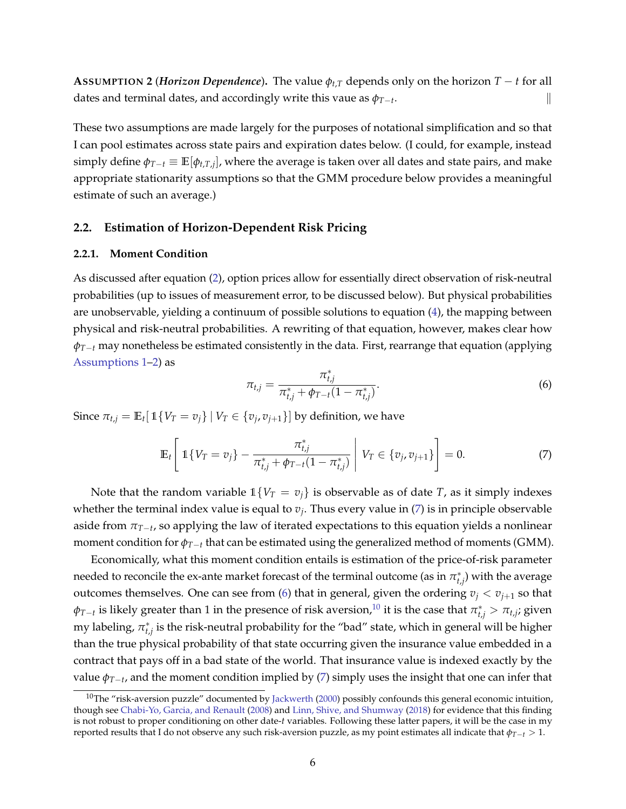**ASSUMPTION 2** (*Horizon Dependence*). The value  $\phi_{t,T}$  depends only on the horizon  $T - t$  for all dates and terminal dates, and accordingly write this vaue as  $\phi_{T-t}$ . . The contract of the contract of  $\|\cdot\|$ 

These two assumptions are made largely for the purposes of notational simplification and so that I can pool estimates across state pairs and expiration dates below. (I could, for example, instead simply define  $\phi_{T-t}\equiv\mathbb{E}[\phi_{t,T,j}]$ , where the average is taken over all dates and state pairs, and make appropriate stationarity assumptions so that the GMM procedure below provides a meaningful estimate of such an average.)

### <span id="page-6-0"></span>**2.2. Estimation of Horizon-Dependent Risk Pricing**

### **2.2.1. Moment Condition**

As discussed after equation [\(2\)](#page-4-6), option prices allow for essentially direct observation of risk-neutral probabilities (up to issues of measurement error, to be discussed below). But physical probabilities are unobservable, yielding a continuum of possible solutions to equation [\(4\)](#page-5-2), the mapping between physical and risk-neutral probabilities. A rewriting of that equation, however, makes clear how *φT*−*<sup>t</sup>* may nonetheless be estimated consistently in the data. First, rearrange that equation (applying [Assumptions 1](#page-5-3)[–2\)](#page-5-4) as

<span id="page-6-2"></span>
$$
\pi_{t,j} = \frac{\pi_{t,j}^*}{\pi_{t,j}^* + \phi_{T-t} (1 - \pi_{t,j}^*)}.
$$
\n(6)

Since  $\pi_{t,j} = \mathbb{E}_t[ \, \mathbb{1}\{V_T = v_j\} \mid V_T \in \{v_j, v_{j+1}\}]$  by definition, we have

<span id="page-6-1"></span>
$$
\mathbb{E}_{t}\left[\left|1\{V_{T}=v_{j}\}-\frac{\pi_{t,j}^{*}}{\pi_{t,j}^{*}+\phi_{T-t}(1-\pi_{t,j}^{*})}\right|V_{T}\in\{v_{j},v_{j+1}\}\right]=0.\tag{7}
$$

Note that the random variable  $1\{V_T = v_j\}$  is observable as of date *T*, as it simply indexes whether the terminal index value is equal to *v<sup>j</sup>* . Thus every value in [\(7\)](#page-6-1) is in principle observable aside from *πT*−*<sup>t</sup>* , so applying the law of iterated expectations to this equation yields a nonlinear moment condition for  $\phi_{T-t}$  that can be estimated using the generalized method of moments (GMM).

Economically, what this moment condition entails is estimation of the price-of-risk parameter needed to reconcile the ex-ante market forecast of the terminal outcome (as in  $\pi^*_{t,j}$ ) with the average outcomes themselves. One can see from [\(6\)](#page-6-2) that in general, given the ordering  $v_j < v_{j+1}$  so that  $\phi_{T-t}$  is likely greater than 1 in the presence of risk aversion,<sup>[10](#page-6-3)</sup> it is the case that  $\pi^*_{t,j} > \pi_{t,j}$ ; given my labeling,  $\pi^*_{t,j}$  is the risk-neutral probability for the "bad" state, which in general will be higher than the true physical probability of that state occurring given the insurance value embedded in a contract that pays off in a bad state of the world. That insurance value is indexed exactly by the value *φT*−*<sup>t</sup>* , and the moment condition implied by [\(7\)](#page-6-1) simply uses the insight that one can infer that

<span id="page-6-3"></span><sup>&</sup>lt;sup>10</sup>The "risk-aversion puzzle" documented by [Jackwerth](#page-24-8) [\(2000\)](#page-24-8) possibly confounds this general economic intuition, though see [Chabi-Yo, Garcia, and Renault](#page-24-9) [\(2008\)](#page-24-9) and [Linn, Shive, and Shumway](#page-25-8) [\(2018\)](#page-25-8) for evidence that this finding is not robust to proper conditioning on other date-*t* variables. Following these latter papers, it will be the case in my reported results that I do not observe any such risk-aversion puzzle, as my point estimates all indicate that  $\phi_{T-t} > 1$ .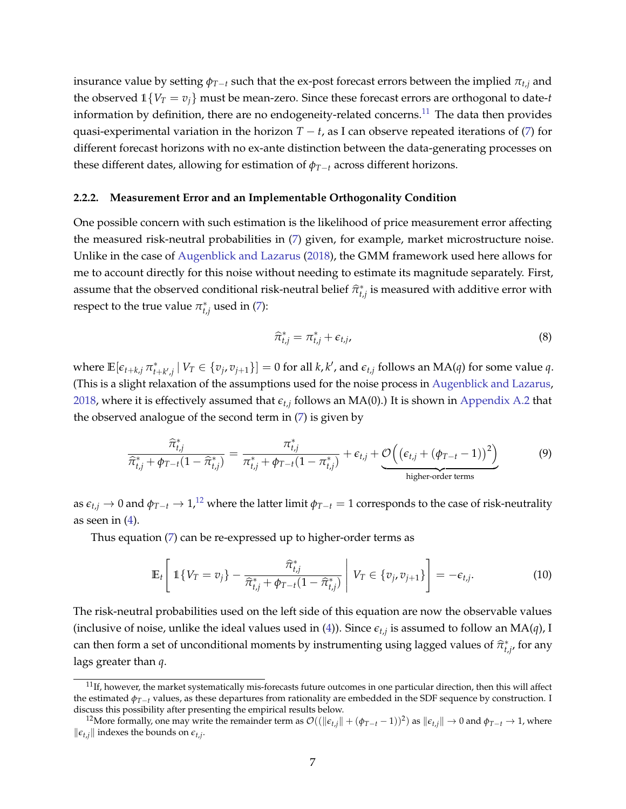insurance value by setting  $\phi_{T-t}$  such that the ex-post forecast errors between the implied  $\pi_{t,i}$  and the observed  $1\{V_T = v_j\}$  must be mean-zero. Since these forecast errors are orthogonal to date-*t* information by definition, there are no endogeneity-related concerns. $^{11}$  $^{11}$  $^{11}$  The data then provides quasi-experimental variation in the horizon  $T - t$ , as I can observe repeated iterations of [\(7\)](#page-6-1) for different forecast horizons with no ex-ante distinction between the data-generating processes on these different dates, allowing for estimation of *φT*−*<sup>t</sup>* across different horizons.

#### <span id="page-7-4"></span>**2.2.2. Measurement Error and an Implementable Orthogonality Condition**

One possible concern with such estimation is the likelihood of price measurement error affecting the measured risk-neutral probabilities in [\(7\)](#page-6-1) given, for example, market microstructure noise. Unlike in the case of [Augenblick and Lazarus](#page-23-5) [\(2018\)](#page-23-5), the GMM framework used here allows for me to account directly for this noise without needing to estimate its magnitude separately. First, assume that the observed conditional risk-neutral belief  $\hat{\pi}_{t,j}^*$  is measured with additive error with respect to the true value  $\pi_{t,j}^*$  used in [\(7\)](#page-6-1):

<span id="page-7-3"></span>
$$
\widehat{\pi}_{t,j}^* = \pi_{t,j}^* + \epsilon_{t,j},\tag{8}
$$

where  $\mathbb{E}[\epsilon_{t+k,j}\,\pi^*_{t+k',j}\,|\,V_T\in\{v_j,v_{j+1}\}]=0$  for all  $k,k'$ , and  $\epsilon_{t,j}$  follows an  $MA(q)$  for some value q. (This is a slight relaxation of the assumptions used for the noise process in [Augenblick and Lazarus,](#page-23-5) [2018,](#page-23-5) where it is effectively assumed that *et*,*<sup>j</sup>* follows an MA(0).) It is shown in [Appendix A.2](#page-19-0) that the observed analogue of the second term in [\(7\)](#page-6-1) is given by

<span id="page-7-5"></span>
$$
\frac{\widehat{\pi}_{t,j}^*}{\widehat{\pi}_{t,j}^* + \phi_{T-t}(1 - \widehat{\pi}_{t,j}^*)} = \frac{\pi_{t,j}^*}{\pi_{t,j}^* + \phi_{T-t}(1 - \pi_{t,j}^*)} + \epsilon_{t,j} + \underbrace{\mathcal{O}\left((\epsilon_{t,j} + (\phi_{T-t} - 1))^2\right)}_{\text{higher-order terms}}
$$
\n(9)

as  $\epsilon_{t,j} \to 0$  and  $\phi_{T-t} \to 1$ ,<sup>[12](#page-7-1)</sup> where the latter limit  $\phi_{T-t} = 1$  corresponds to the case of risk-neutrality as seen in  $(4)$ .

Thus equation [\(7\)](#page-6-1) can be re-expressed up to higher-order terms as

<span id="page-7-2"></span>
$$
\mathbb{E}_{t}\left[\left|1\{V_{T}=v_{j}\}-\frac{\widehat{\pi}_{t,j}^{*}}{\widehat{\pi}_{t,j}^{*}+\phi_{T-t}(1-\widehat{\pi}_{t,j}^{*})}\right|V_{T}\in\{v_{j},v_{j+1}\}\right]=-\epsilon_{t,j}.
$$
\n(10)

The risk-neutral probabilities used on the left side of this equation are now the observable values (inclusive of noise, unlike the ideal values used in [\(4\)](#page-5-2)). Since  $\epsilon_{t,j}$  is assumed to follow an MA(*q*), I can then form a set of unconditional moments by instrumenting using lagged values of  $\hat{\pi}^*_{t,j}$ , for any lags greater than *q*.

<span id="page-7-0"></span> $11$ If, however, the market systematically mis-forecasts future outcomes in one particular direction, then this will affect the estimated *φT*−*<sup>t</sup>* values, as these departures from rationality are embedded in the SDF sequence by construction. I discuss this possibility after presenting the empirical results below.

<span id="page-7-1"></span> $^{12}$ More formally, one may write the remainder term as  $\mathcal{O}((\|\epsilon_{t,j}\|+(\phi_{T-t}-1))^2)$  as  $\|\epsilon_{t,j}\|\to 0$  and  $\phi_{T-t}\to 1$ , where  $\|\epsilon_{t,j}\|$  indexes the bounds on  $\epsilon_{t,j}$ .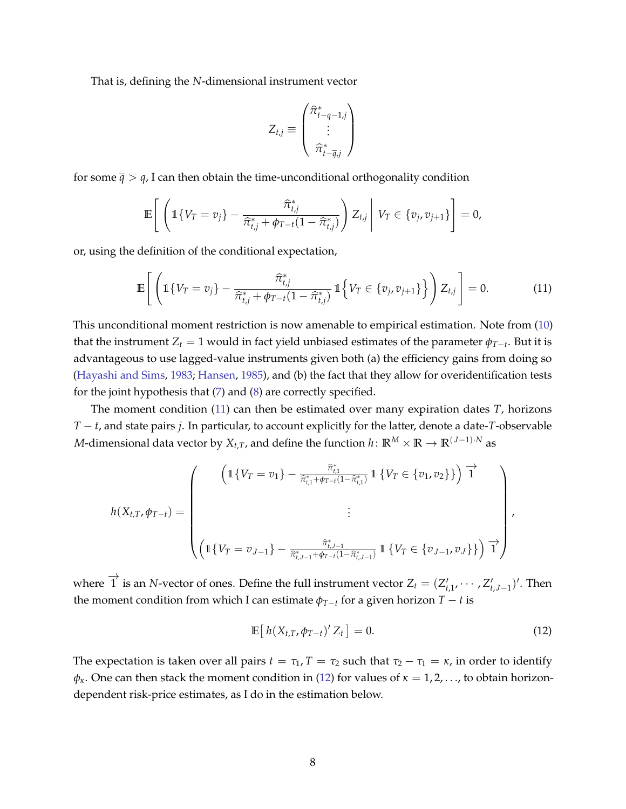That is, defining the *N*-dimensional instrument vector

$$
Z_{t,j} \equiv \begin{pmatrix} \widehat{\pi}_{t-q-1,j}^* \\ \vdots \\ \widehat{\pi}_{t-\overline{q},j}^* \end{pmatrix}
$$

for some  $\bar{q} > q$ , I can then obtain the time-unconditional orthogonality condition

$$
\mathbb{E}\left[\left(1\{V_T=v_j\}-\frac{\widehat{\pi}^*_{t,j}}{\widehat{\pi}^*_{t,j}+\phi_{T-t}(1-\widehat{\pi}^*_{t,j})}\right)Z_{t,j}\,\middle|\, V_T\in\{v_j,v_{j+1}\}\right]=0,
$$

or, using the definition of the conditional expectation,

<span id="page-8-0"></span>
$$
\mathbb{E}\left[\left(1\{V_T = v_j\} - \frac{\widehat{\pi}_{t,j}^*}{\widehat{\pi}_{t,j}^* + \phi_{T-t}(1 - \widehat{\pi}_{t,j}^*)}\,1\Big\{V_T \in \{v_j, v_{j+1}\}\right\}\right) Z_{t,j}\right] = 0. \tag{11}
$$

This unconditional moment restriction is now amenable to empirical estimation. Note from [\(10\)](#page-7-2) that the instrument  $Z_t = 1$  would in fact yield unbiased estimates of the parameter  $\phi_{T-t}$ . But it is advantageous to use lagged-value instruments given both (a) the efficiency gains from doing so [\(Hayashi and Sims,](#page-24-10) [1983;](#page-24-10) [Hansen,](#page-24-11) [1985\)](#page-24-11), and (b) the fact that they allow for overidentification tests for the joint hypothesis that [\(7\)](#page-6-1) and [\(8\)](#page-7-3) are correctly specified.

The moment condition [\(11\)](#page-8-0) can then be estimated over many expiration dates *T*, horizons *T* − *t*, and state pairs *j*. In particular, to account explicitly for the latter, denote a date-*T*-observable *M*-dimensional data vector by  $X_{t,T}$ , and define the function  $h: \mathbb{R}^M \times \mathbb{R} \to \mathbb{R}^{(J-1)\cdot N}$  as

$$
h(X_{t,T}, \phi_{T-t}) = \begin{pmatrix} \begin{pmatrix} \mathbb{1}\{V_T = v_1\} - \frac{\hat{\pi}_{t,1}^*}{\hat{\pi}_{t,1}^* + \phi_{T-t}(1-\hat{\pi}_{t,1}^*)} \mathbb{1}\{V_T \in \{v_1, v_2\}\} \end{pmatrix} \mathbb{T}^* \\ \begin{pmatrix} \mathbb{1}\{V_T = v_{J-1}\} - \frac{\hat{\pi}_{t,J-1}^*}{\hat{\pi}_{t,J-1}^* + \phi_{T-t}(1-\hat{\pi}_{t,J-1}^*)} \mathbb{1}\{V_T \in \{v_{J-1}, v_J\}\} \end{pmatrix} \mathbb{T}^* \end{pmatrix},
$$

where  $\overrightarrow{1}$  is an *N*-vector of ones. Define the full instrument vector  $Z_t = (Z'_{t,1}, \dots, Z'_{t,J-1})'$ . Then the moment condition from which I can estimate  $\phi_{T-t}$  for a given horizon  $T-t$  is

<span id="page-8-1"></span>
$$
\mathbb{E}\left[h(X_{t,T},\phi_{T-t})'Z_t\right] = 0. \tag{12}
$$

The expectation is taken over all pairs  $t = \tau_1$ ,  $T = \tau_2$  such that  $\tau_2 - \tau_1 = \kappa$ , in order to identify  $\phi_{\kappa}$ . One can then stack the moment condition in [\(12\)](#page-8-1) for values of  $\kappa = 1, 2, \ldots$ , to obtain horizondependent risk-price estimates, as I do in the estimation below.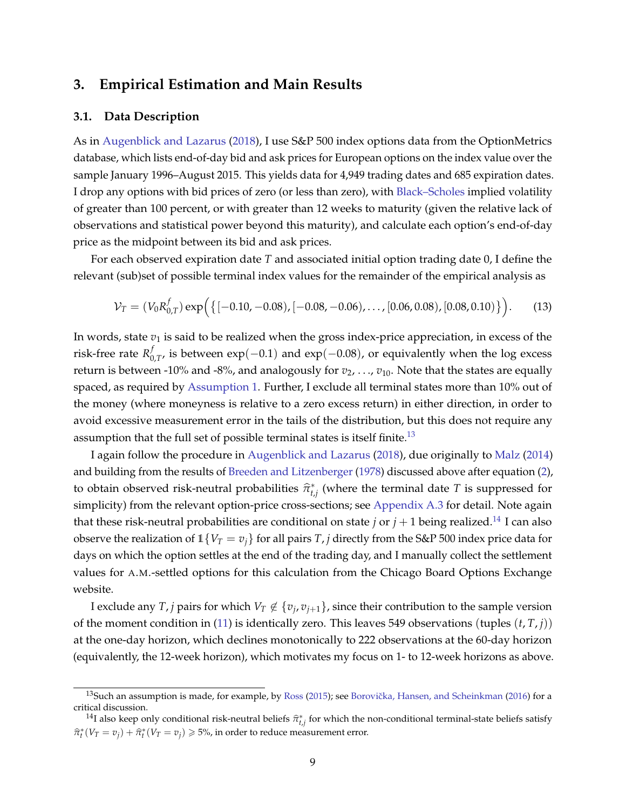# <span id="page-9-0"></span>**3. Empirical Estimation and Main Results**

#### **3.1. Data Description**

As in [Augenblick and Lazarus](#page-23-5) [\(2018\)](#page-23-5), I use S&P 500 index options data from the OptionMetrics database, which lists end-of-day bid and ask prices for European options on the index value over the sample January 1996–August 2015. This yields data for 4,949 trading dates and 685 expiration dates. I drop any options with bid prices of zero (or less than zero), with [Black–Scholes](#page-23-12) implied volatility of greater than 100 percent, or with greater than 12 weeks to maturity (given the relative lack of observations and statistical power beyond this maturity), and calculate each option's end-of-day price as the midpoint between its bid and ask prices.

For each observed expiration date *T* and associated initial option trading date 0, I define the relevant (sub)set of possible terminal index values for the remainder of the empirical analysis as

<span id="page-9-3"></span>
$$
\mathcal{V}_T = (V_0 R_{0,T}^f) \exp\Big(\big\{[-0.10, -0.08), [-0.08, -0.06), \dots, [0.06, 0.08), [0.08, 0.10)\big\}\Big). \tag{13}
$$

In words, state  $v_1$  is said to be realized when the gross index-price appreciation, in excess of the risk-free rate *R f*  $\int_{0.77}$ , is between exp(−0.1) and exp(−0.08), or equivalently when the log excess return is between -10% and -8%, and analogously for  $v_1$ , ...,  $v_{10}$ . Note that the states are equally spaced, as required by [Assumption 1.](#page-5-3) Further, I exclude all terminal states more than 10% out of the money (where moneyness is relative to a zero excess return) in either direction, in order to avoid excessive measurement error in the tails of the distribution, but this does not require any assumption that the full set of possible terminal states is itself finite.<sup>[13](#page-9-1)</sup>

I again follow the procedure in [Augenblick and Lazarus](#page-23-5) [\(2018\)](#page-23-5), due originally to [Malz](#page-25-9) [\(2014\)](#page-25-9) and building from the results of [Breeden and Litzenberger](#page-23-11) [\(1978\)](#page-23-11) discussed above after equation [\(2\)](#page-4-6), to obtain observed risk-neutral probabilities  $\hat{\pi}_{t,j}^*$  (where the terminal date *T* is suppressed for simplicity) from the relevant option-price cross-sections; see [Appendix A.3](#page-20-0) for detail. Note again that these risk-neutral probabilities are conditional on state *j* or  $j + 1$  being realized.<sup>[14](#page-9-2)</sup> I can also observe the realization of  $1\{V_T = v_j\}$  for all pairs *T*, *j* directly from the S&P 500 index price data for days on which the option settles at the end of the trading day, and I manually collect the settlement values for A.M.-settled options for this calculation from the Chicago Board Options Exchange website.

I exclude any *T*, *j* pairs for which  $V_T \notin \{v_j, v_{j+1}\}$ , since their contribution to the sample version of the moment condition in [\(11\)](#page-8-0) is identically zero. This leaves 549 observations (tuples (*t*, *T*, *j*)) at the one-day horizon, which declines monotonically to 222 observations at the 60-day horizon (equivalently, the 12-week horizon), which motivates my focus on 1- to 12-week horizons as above.

<span id="page-9-1"></span> $13$ Such an assumption is made, for example, by [Ross](#page-25-10) [\(2015\)](#page-25-10); see Borovička, Hansen, and Scheinkman [\(2016\)](#page-23-13) for a critical discussion.

<span id="page-9-2"></span><sup>&</sup>lt;sup>14</sup>I also keep only conditional risk-neutral beliefs  $\hat{\pi}_{t,j}^*$  for which the non-conditional terminal-state beliefs satisfy  $\hat{\pi}_t^*(V_T = v_j) + \hat{\pi}_t^*(V_T = v_j) \geqslant 5\%$ , in order to reduce measurement error.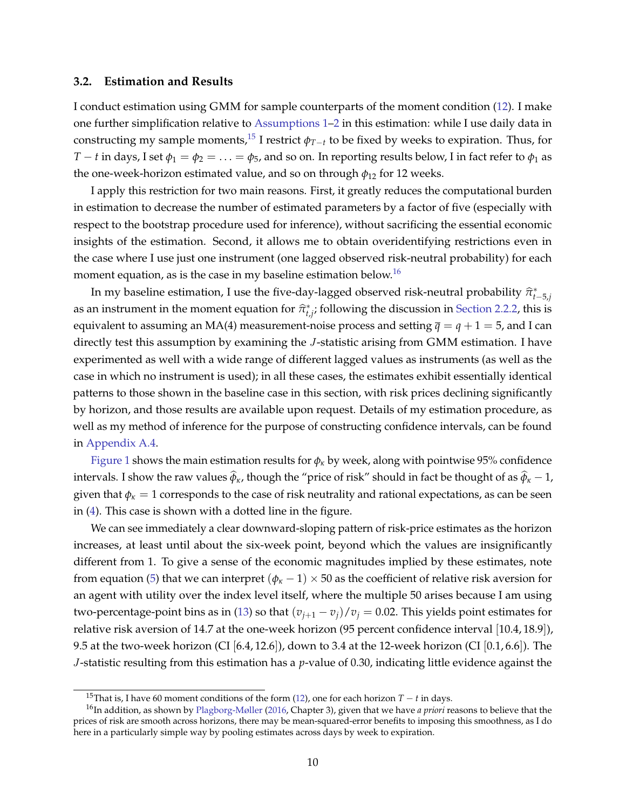#### **3.2. Estimation and Results**

I conduct estimation using GMM for sample counterparts of the moment condition [\(12\)](#page-8-1). I make one further simplification relative to [Assumptions 1–](#page-5-3)[2](#page-5-4) in this estimation: while I use daily data in constructing my sample moments,<sup>[15](#page-10-0)</sup> I restrict  $\phi_{T-t}$  to be fixed by weeks to expiration. Thus, for *T* − *t* in days, I set  $\phi_1 = \phi_2 = \ldots = \phi_5$ , and so on. In reporting results below, I in fact refer to  $\phi_1$  as the one-week-horizon estimated value, and so on through  $\phi_{12}$  for 12 weeks.

I apply this restriction for two main reasons. First, it greatly reduces the computational burden in estimation to decrease the number of estimated parameters by a factor of five (especially with respect to the bootstrap procedure used for inference), without sacrificing the essential economic insights of the estimation. Second, it allows me to obtain overidentifying restrictions even in the case where I use just one instrument (one lagged observed risk-neutral probability) for each moment equation, as is the case in my baseline estimation below.<sup>[16](#page-10-1)</sup>

In my baseline estimation, I use the five-day-lagged observed risk-neutral probability  $\hat{\pi}_{t-5,j}^*$ as an instrument in the moment equation for  $\hat{\pi}_{t,j}^*$ , following the discussion in [Section 2.2.2,](#page-7-4) this is equivalent to assuming an MA(4) measurement-noise process and setting  $\bar{q} = q + 1 = 5$ , and I can directly test this assumption by examining the *J*-statistic arising from GMM estimation. I have experimented as well with a wide range of different lagged values as instruments (as well as the case in which no instrument is used); in all these cases, the estimates exhibit essentially identical patterns to those shown in the baseline case in this section, with risk prices declining significantly by horizon, and those results are available upon request. Details of my estimation procedure, as well as my method of inference for the purpose of constructing confidence intervals, can be found in [Appendix A.4.](#page-21-0)

[Figure 1](#page-11-0) shows the main estimation results for  $\phi_k$  by week, along with pointwise 95% confidence intervals. I show the raw values  $\hat{\phi}_k$ , though the "price of risk" should in fact be thought of as  $\hat{\phi}_k - 1$ , given that  $\phi_k = 1$  corresponds to the case of risk neutrality and rational expectations, as can be seen in [\(4\)](#page-5-2). This case is shown with a dotted line in the figure.

We can see immediately a clear downward-sloping pattern of risk-price estimates as the horizon increases, at least until about the six-week point, beyond which the values are insignificantly different from 1. To give a sense of the economic magnitudes implied by these estimates, note from equation [\(5\)](#page-5-0) that we can interpret ( $\phi_k$  – 1) × 50 as the coefficient of relative risk aversion for an agent with utility over the index level itself, where the multiple 50 arises because I am using two-percentage-point bins as in [\(13\)](#page-9-3) so that  $(v_{i+1} - v_i)/v_i = 0.02$ . This yields point estimates for relative risk aversion of 14.7 at the one-week horizon (95 percent confidence interval [10.4, 18.9]), 9.5 at the two-week horizon (CI  $(6.4, 12.6)$ ), down to 3.4 at the 12-week horizon (CI  $(0.1, 6.6)$ ). The *J*-statistic resulting from this estimation has a *p*-value of 0.30, indicating little evidence against the

<span id="page-10-1"></span><span id="page-10-0"></span><sup>15</sup>That is, I have 60 moment conditions of the form [\(12\)](#page-8-1), one for each horizon *T* − *t* in days.

<sup>16</sup>In addition, as shown by [Plagborg-Møller](#page-25-11) [\(2016,](#page-25-11) Chapter 3), given that we have *a priori* reasons to believe that the prices of risk are smooth across horizons, there may be mean-squared-error benefits to imposing this smoothness, as I do here in a particularly simple way by pooling estimates across days by week to expiration.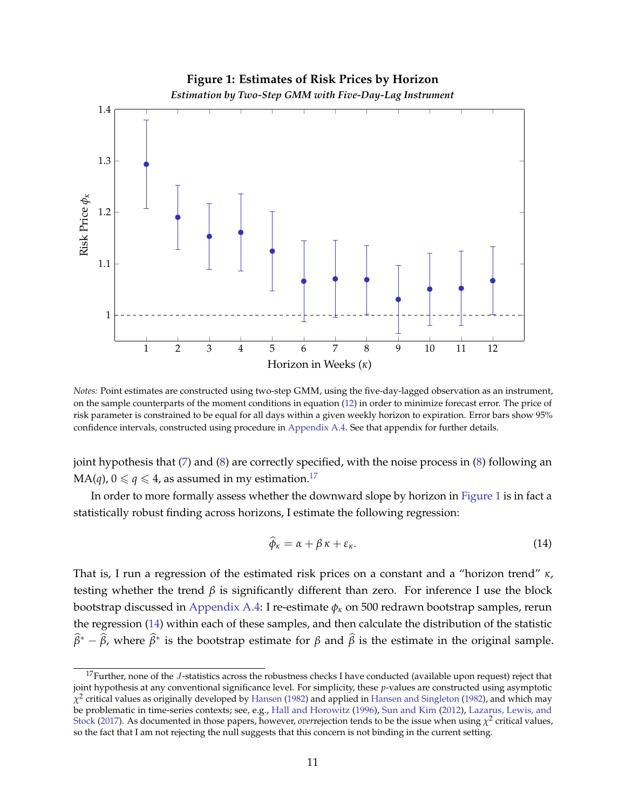<span id="page-11-0"></span>

*Notes:* Point estimates are constructed using two-step GMM, using the five-day-lagged observation as an instrument, on the sample counterparts of the moment conditions in equation [\(12\)](#page-8-1) in order to minimize forecast error. The price of risk parameter is constrained to be equal for all days within a given weekly horizon to expiration. Error bars show 95% confidence intervals, constructed using procedure in [Appendix A.4.](#page-21-0) See that appendix for further details.

joint hypothesis that [\(7\)](#page-6-1) and [\(8\)](#page-7-3) are correctly specified, with the noise process in [\(8\)](#page-7-3) following an  $MA(q)$ ,  $0 \le q \le 4$ , as assumed in my estimation.<sup>[17](#page-11-1)</sup>

In order to more formally assess whether the downward slope by horizon in [Figure 1](#page-11-0) is in fact a statistically robust finding across horizons, I estimate the following regression:

<span id="page-11-2"></span>
$$
\widehat{\phi}_{\kappa} = \alpha + \beta \kappa + \varepsilon_{\kappa}.\tag{14}
$$

That is, I run a regression of the estimated risk prices on a constant and a "horizon trend" *κ*, testing whether the trend  $\beta$  is significantly different than zero. For inference I use the block bootstrap discussed in [Appendix A.4:](#page-21-0) I re-estimate *φ<sup>κ</sup>* on 500 redrawn bootstrap samples, rerun the regression [\(14\)](#page-11-2) within each of these samples, and then calculate the distribution of the statistic  $\widehat{\beta}^* - \widehat{\beta}$ , where  $\widehat{\beta}^*$  is the bootstrap estimate for  $\beta$  and  $\widehat{\beta}$  is the estimate in the original sample.

<span id="page-11-1"></span><sup>&</sup>lt;sup>17</sup>Further, none of the *J*-statistics across the robustness checks I have conducted (available upon request) reject that joint hypothesis at any conventional significance level. For simplicity, these *p*-values are constructed using asymptotic  $\chi^2$  critical values as originally developed by [Hansen](#page-24-12) [\(1982\)](#page-24-13) and applied in [Hansen and Singleton](#page-24-13) (1982), and which may be problematic in time-series contexts; see, e.g., [Hall and Horowitz](#page-24-14) [\(1996\)](#page-24-14), [Sun and Kim](#page-25-12) [\(2012\)](#page-25-12), [Lazarus, Lewis, and](#page-24-15) [Stock](#page-24-15) [\(2017\)](#page-24-15). As documented in those papers, however, *over* rejection tends to be the issue when using  $\chi^2$  critical values, so the fact that I am not rejecting the null suggests that this concern is not binding in the current setting.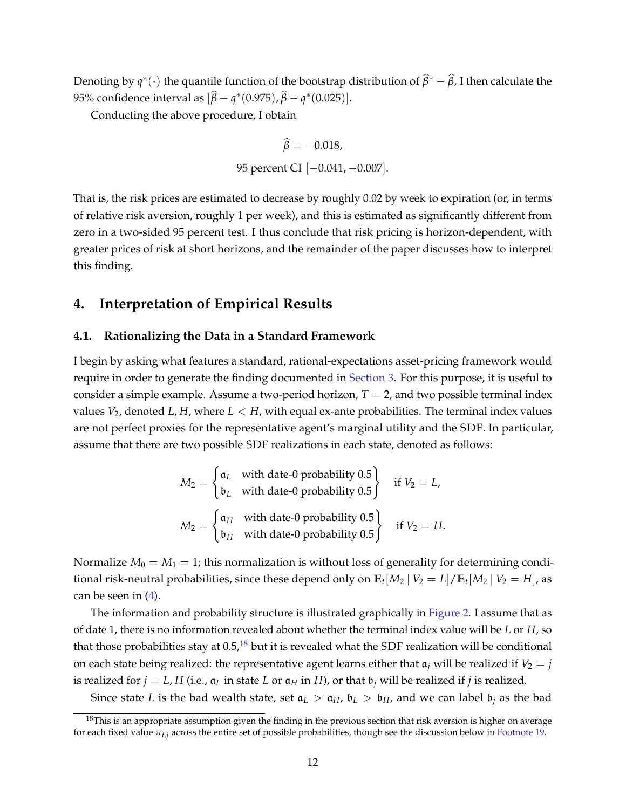Denoting by  $q^*(\cdot)$  the quantile function of the bootstrap distribution of  $\widehat{\beta}^* - \widehat{\beta}$ , I then calculate the 95% confidence interval as  $[\hat{\beta} - q^*(0.975), \hat{\beta} - q^*(0.025)].$ 

Conducting the above procedure, I obtain

$$
\hat{\beta} = -0.018,
$$
  
95 percent CI [-0.041, -0.007].

That is, the risk prices are estimated to decrease by roughly 0.02 by week to expiration (or, in terms of relative risk aversion, roughly 1 per week), and this is estimated as significantly different from zero in a two-sided 95 percent test. I thus conclude that risk pricing is horizon-dependent, with greater prices of risk at short horizons, and the remainder of the paper discusses how to interpret this finding.

### <span id="page-12-0"></span>**4. Interpretation of Empirical Results**

### **4.1. Rationalizing the Data in a Standard Framework**

I begin by asking what features a standard, rational-expectations asset-pricing framework would require in order to generate the finding documented in [Section 3.](#page-9-0) For this purpose, it is useful to consider a simple example. Assume a two-period horizon,  $T = 2$ , and two possible terminal index values  $V_2$ , denoted *L*, *H*, where  $L < H$ , with equal ex-ante probabilities. The terminal index values are not perfect proxies for the representative agent's marginal utility and the SDF. In particular, assume that there are two possible SDF realizations in each state, denoted as follows:

$$
M_2 = \begin{cases} \mathfrak{a}_L & \text{with date-0 probability } 0.5\\ \mathfrak{b}_L & \text{with date-0 probability } 0.5 \end{cases} \quad \text{if } V_2 = L,
$$
  

$$
M_2 = \begin{cases} \mathfrak{a}_H & \text{with date-0 probability } 0.5\\ \mathfrak{b}_H & \text{with date-0 probability } 0.5 \end{cases} \quad \text{if } V_2 = H.
$$

Normalize  $M_0 = M_1 = 1$ ; this normalization is without loss of generality for determining conditional risk-neutral probabilities, since these depend only on  $\mathbb{E}_t[M_2 \mid V_2=L]/\mathbb{E}_t[M_2 \mid V_2=H]$ , as can be seen in  $(4)$ .

The information and probability structure is illustrated graphically in [Figure 2.](#page-13-0) I assume that as of date 1, there is no information revealed about whether the terminal index value will be *L* or *H*, so that those probabilities stay at  $0.5<sup>18</sup>$  $0.5<sup>18</sup>$  $0.5<sup>18</sup>$  but it is revealed what the SDF realization will be conditional on each state being realized: the representative agent learns either that  $a_j$  will be realized if  $V_2 = j$ is realized for  $j = L$ , *H* (i.e.,  $a_L$  in state *L* or  $a_H$  in *H*), or that  $b_j$  will be realized if *j* is realized.

Since state *L* is the bad wealth state, set  $a_L > a_H$ ,  $b_L > b_H$ , and we can label  $b_i$  as the bad

<span id="page-12-1"></span> $18$ This is an appropriate assumption given the finding in the previous section that risk aversion is higher on average for each fixed value *πt*,*<sup>j</sup>* across the entire set of possible probabilities, though see the discussion below in [Footnote 19.](#page-14-0)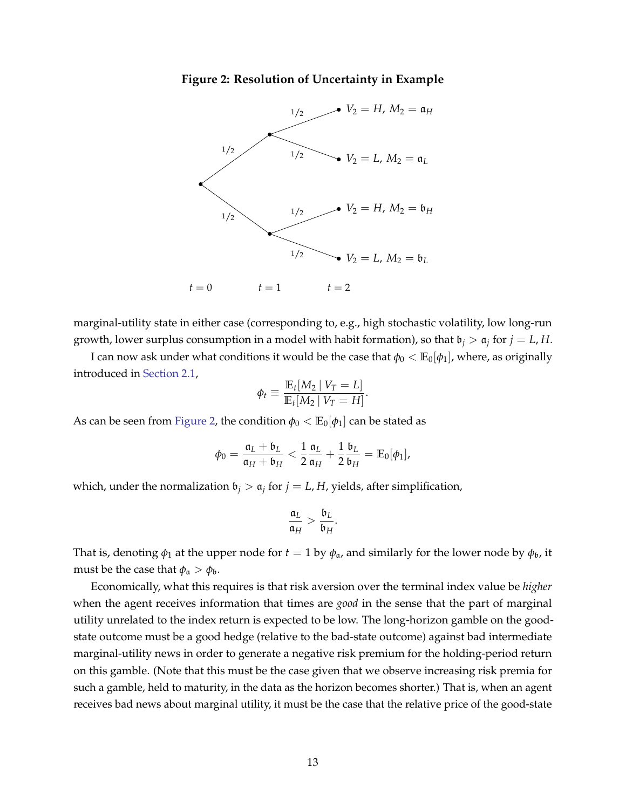<span id="page-13-0"></span>



marginal-utility state in either case (corresponding to, e.g., high stochastic volatility, low long-run growth, lower surplus consumption in a model with habit formation), so that  $\mathfrak{b}_j > \mathfrak{a}_j$  for  $j = L$ , H.

I can now ask under what conditions it would be the case that  $\phi_0 < \mathbb{E}_0[\phi_1]$ , where, as originally introduced in [Section 2.1,](#page-4-1)

$$
\phi_t \equiv \frac{\mathbb{E}_t[M_2 \mid V_T = L]}{\mathbb{E}_t[M_2 \mid V_T = H]}.
$$

As can be seen from [Figure 2,](#page-13-0) the condition  $\phi_0 < \mathbb{E}_0[\phi_1]$  can be stated as

$$
\phi_0=\frac{\mathfrak{a}_L+\mathfrak{b}_L}{\mathfrak{a}_H+\mathfrak{b}_H}<\frac{1}{2}\frac{\mathfrak{a}_L}{\mathfrak{a}_H}+\frac{1}{2}\frac{\mathfrak{b}_L}{\mathfrak{b}_H}=\mathbb{E}_0[\phi_1],
$$

which, under the normalization  $\mathfrak{b}_j > \mathfrak{a}_j$  for  $j = L$ , *H*, yields, after simplification,

$$
\frac{\mathfrak{a}_L}{\mathfrak{a}_H} > \frac{\mathfrak{b}_L}{\mathfrak{b}_H}.
$$

That is, denoting  $\phi_1$  at the upper node for  $t = 1$  by  $\phi_\mathfrak{a}$ , and similarly for the lower node by  $\phi_\mathfrak{b}$ , it must be the case that  $\phi_a > \phi_b$ .

Economically, what this requires is that risk aversion over the terminal index value be *higher* when the agent receives information that times are *good* in the sense that the part of marginal utility unrelated to the index return is expected to be low. The long-horizon gamble on the goodstate outcome must be a good hedge (relative to the bad-state outcome) against bad intermediate marginal-utility news in order to generate a negative risk premium for the holding-period return on this gamble. (Note that this must be the case given that we observe increasing risk premia for such a gamble, held to maturity, in the data as the horizon becomes shorter.) That is, when an agent receives bad news about marginal utility, it must be the case that the relative price of the good-state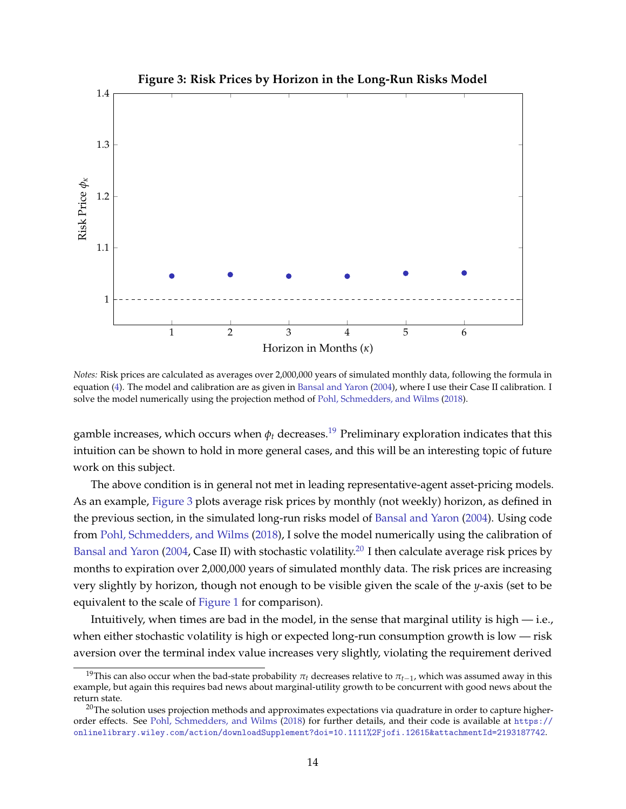<span id="page-14-1"></span>

*Notes:* Risk prices are calculated as averages over 2,000,000 years of simulated monthly data, following the formula in equation [\(4\)](#page-5-2). The model and calibration are as given in [Bansal and Yaron](#page-23-14) [\(2004\)](#page-23-14), where I use their Case II calibration. I solve the model numerically using the projection method of [Pohl, Schmedders, and Wilms](#page-25-0) [\(2018\)](#page-25-0).

gamble increases, which occurs when  $\phi_t$  decreases.<sup>[19](#page-14-0)</sup> Preliminary exploration indicates that this intuition can be shown to hold in more general cases, and this will be an interesting topic of future work on this subject.

The above condition is in general not met in leading representative-agent asset-pricing models. As an example, [Figure 3](#page-14-1) plots average risk prices by monthly (not weekly) horizon, as defined in the previous section, in the simulated long-run risks model of [Bansal and Yaron](#page-23-14) [\(2004\)](#page-23-14). Using code from [Pohl, Schmedders, and Wilms](#page-25-0) [\(2018\)](#page-25-0), I solve the model numerically using the calibration of [Bansal and Yaron](#page-23-14) [\(2004,](#page-23-14) Case II) with stochastic volatility.<sup>[20](#page-14-2)</sup> I then calculate average risk prices by months to expiration over 2,000,000 years of simulated monthly data. The risk prices are increasing very slightly by horizon, though not enough to be visible given the scale of the *y*-axis (set to be equivalent to the scale of [Figure 1](#page-11-0) for comparison).

Intuitively, when times are bad in the model, in the sense that marginal utility is high — i.e., when either stochastic volatility is high or expected long-run consumption growth is low — risk aversion over the terminal index value increases very slightly, violating the requirement derived

<span id="page-14-0"></span><sup>&</sup>lt;sup>19</sup>This can also occur when the bad-state probability  $\pi_t$  decreases relative to  $\pi_{t-1}$ , which was assumed away in this example, but again this requires bad news about marginal-utility growth to be concurrent with good news about the return state.

<span id="page-14-2"></span><sup>&</sup>lt;sup>20</sup>The solution uses projection methods and approximates expectations via quadrature in order to capture higherorder effects. See [Pohl, Schmedders, and Wilms](#page-25-0) [\(2018\)](#page-25-0) for further details, and their code is available at [https://](https://onlinelibrary.wiley.com/action/downloadSupplement?doi=10.1111%2Fjofi.12615&attachmentId=2193187742) [onlinelibrary.wiley.com/action/downloadSupplement?doi=10.1111%2Fjofi.12615&attachmentId=2193187742](https://onlinelibrary.wiley.com/action/downloadSupplement?doi=10.1111%2Fjofi.12615&attachmentId=2193187742).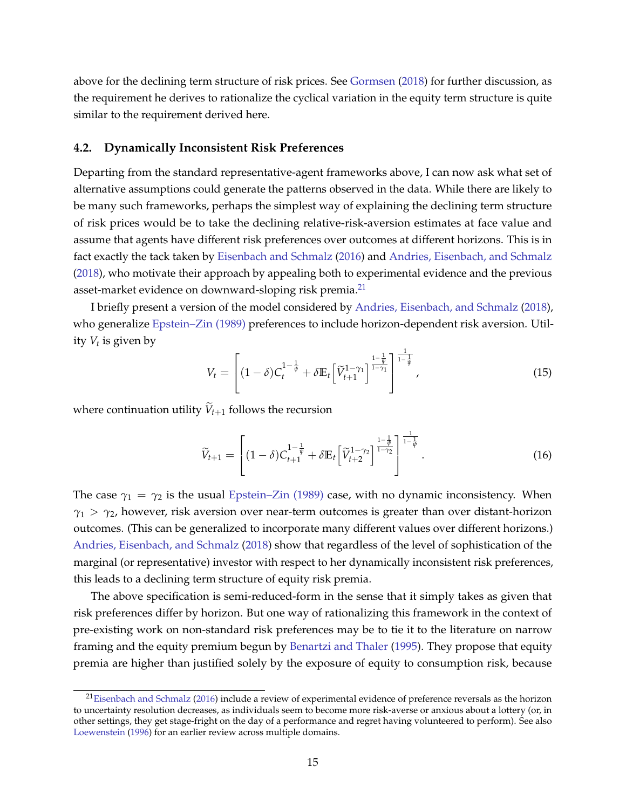above for the declining term structure of risk prices. See [Gormsen](#page-24-2) [\(2018\)](#page-24-2) for further discussion, as the requirement he derives to rationalize the cyclical variation in the equity term structure is quite similar to the requirement derived here.

#### **4.2. Dynamically Inconsistent Risk Preferences**

Departing from the standard representative-agent frameworks above, I can now ask what set of alternative assumptions could generate the patterns observed in the data. While there are likely to be many such frameworks, perhaps the simplest way of explaining the declining term structure of risk prices would be to take the declining relative-risk-aversion estimates at face value and assume that agents have different risk preferences over outcomes at different horizons. This is in fact exactly the tack taken by [Eisenbach and Schmalz](#page-24-16) [\(2016\)](#page-24-16) and [Andries, Eisenbach, and Schmalz](#page-23-15) [\(2018\)](#page-23-15), who motivate their approach by appealing both to experimental evidence and the previous asset-market evidence on downward-sloping risk premia.<sup>[21](#page-15-0)</sup>

I briefly present a version of the model considered by [Andries, Eisenbach, and Schmalz](#page-23-15) [\(2018\)](#page-23-15), who generalize [Epstein–Zin \(1989\)](#page-24-17) preferences to include horizon-dependent risk aversion. Utility *V<sup>t</sup>* is given by

<span id="page-15-1"></span>
$$
V_t = \left[ (1 - \delta) C_t^{1 - \frac{1}{\psi}} + \delta \mathbb{E}_t \left[ \widetilde{V}_{t+1}^{1 - \gamma_1} \right]^{\frac{1 - \frac{1}{\psi}}{1 - \gamma_1}} \right]^{\frac{1}{1 - \frac{1}{\psi}}}, \tag{15}
$$

where continuation utility  $\widetilde{V}_{t+1}$  follows the recursion

<span id="page-15-2"></span>
$$
\widetilde{V}_{t+1} = \left[ (1-\delta) C_{t+1}^{1-\frac{1}{\psi}} + \delta \mathbb{E}_t \left[ \widetilde{V}_{t+2}^{1-\gamma_2} \right]^{\frac{1-\frac{1}{\psi}}{1-\frac{1}{\psi}}} \right]^{-\frac{1}{1-\frac{1}{\psi}}}.
$$
\n(16)

The case  $\gamma_1 = \gamma_2$  is the usual [Epstein–Zin \(1989\)](#page-24-17) case, with no dynamic inconsistency. When *γ*<sup>1</sup> > *γ*2, however, risk aversion over near-term outcomes is greater than over distant-horizon outcomes. (This can be generalized to incorporate many different values over different horizons.) [Andries, Eisenbach, and Schmalz](#page-23-15) [\(2018\)](#page-23-15) show that regardless of the level of sophistication of the marginal (or representative) investor with respect to her dynamically inconsistent risk preferences, this leads to a declining term structure of equity risk premia.

The above specification is semi-reduced-form in the sense that it simply takes as given that risk preferences differ by horizon. But one way of rationalizing this framework in the context of pre-existing work on non-standard risk preferences may be to tie it to the literature on narrow framing and the equity premium begun by [Benartzi and Thaler](#page-23-16) [\(1995\)](#page-23-16). They propose that equity premia are higher than justified solely by the exposure of equity to consumption risk, because

<span id="page-15-0"></span><sup>&</sup>lt;sup>21</sup>[Eisenbach and Schmalz](#page-24-16) [\(2016\)](#page-24-16) include a review of experimental evidence of preference reversals as the horizon to uncertainty resolution decreases, as individuals seem to become more risk-averse or anxious about a lottery (or, in other settings, they get stage-fright on the day of a performance and regret having volunteered to perform). See also [Loewenstein](#page-25-13) [\(1996\)](#page-25-13) for an earlier review across multiple domains.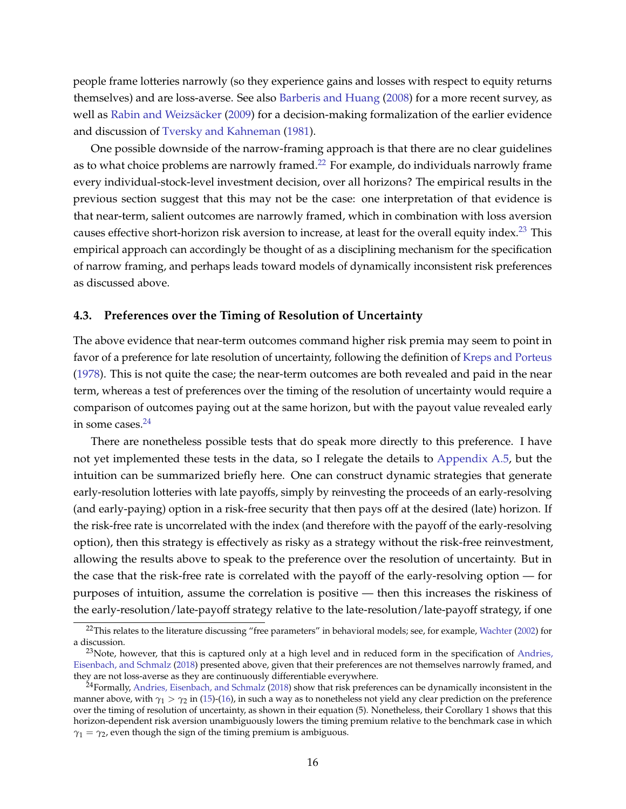people frame lotteries narrowly (so they experience gains and losses with respect to equity returns themselves) and are loss-averse. See also [Barberis and Huang](#page-23-10) [\(2008\)](#page-23-10) for a more recent survey, as well as Rabin and Weizsäcker [\(2009\)](#page-25-6) for a decision-making formalization of the earlier evidence and discussion of [Tversky and Kahneman](#page-25-14) [\(1981\)](#page-25-14).

One possible downside of the narrow-framing approach is that there are no clear guidelines as to what choice problems are narrowly framed.<sup>[22](#page-16-0)</sup> For example, do individuals narrowly frame every individual-stock-level investment decision, over all horizons? The empirical results in the previous section suggest that this may not be the case: one interpretation of that evidence is that near-term, salient outcomes are narrowly framed, which in combination with loss aversion causes effective short-horizon risk aversion to increase, at least for the overall equity index.<sup>[23](#page-16-1)</sup> This empirical approach can accordingly be thought of as a disciplining mechanism for the specification of narrow framing, and perhaps leads toward models of dynamically inconsistent risk preferences as discussed above.

### **4.3. Preferences over the Timing of Resolution of Uncertainty**

The above evidence that near-term outcomes command higher risk premia may seem to point in favor of a preference for late resolution of uncertainty, following the definition of [Kreps and Porteus](#page-24-18) [\(1978\)](#page-24-18). This is not quite the case; the near-term outcomes are both revealed and paid in the near term, whereas a test of preferences over the timing of the resolution of uncertainty would require a comparison of outcomes paying out at the same horizon, but with the payout value revealed early in some cases. $24$ 

There are nonetheless possible tests that do speak more directly to this preference. I have not yet implemented these tests in the data, so I relegate the details to [Appendix A.5,](#page-22-0) but the intuition can be summarized briefly here. One can construct dynamic strategies that generate early-resolution lotteries with late payoffs, simply by reinvesting the proceeds of an early-resolving (and early-paying) option in a risk-free security that then pays off at the desired (late) horizon. If the risk-free rate is uncorrelated with the index (and therefore with the payoff of the early-resolving option), then this strategy is effectively as risky as a strategy without the risk-free reinvestment, allowing the results above to speak to the preference over the resolution of uncertainty. But in the case that the risk-free rate is correlated with the payoff of the early-resolving option — for purposes of intuition, assume the correlation is positive — then this increases the riskiness of the early-resolution/late-payoff strategy relative to the late-resolution/late-payoff strategy, if one

<span id="page-16-0"></span> $^{22}$ This relates to the literature discussing "free parameters" in behavioral models; see, for example, [Wachter](#page-25-15) [\(2002\)](#page-25-15) for a discussion.

<span id="page-16-1"></span> $23$ Note, however, that this is captured only at a high level and in reduced form in the specification of [Andries,](#page-23-15) [Eisenbach, and Schmalz](#page-23-15) [\(2018\)](#page-23-15) presented above, given that their preferences are not themselves narrowly framed, and they are not loss-averse as they are continuously differentiable everywhere.

<span id="page-16-2"></span> $^{24}$ Formally, [Andries, Eisenbach, and Schmalz](#page-23-15) [\(2018\)](#page-23-15) show that risk preferences can be dynamically inconsistent in the manner above, with  $\gamma_1 > \gamma_2$  in [\(15\)](#page-15-1)-[\(16\)](#page-15-2), in such a way as to nonetheless not yield any clear prediction on the preference over the timing of resolution of uncertainty, as shown in their equation (5). Nonetheless, their Corollary 1 shows that this horizon-dependent risk aversion unambiguously lowers the timing premium relative to the benchmark case in which  $\gamma_1 = \gamma_2$ , even though the sign of the timing premium is ambiguous.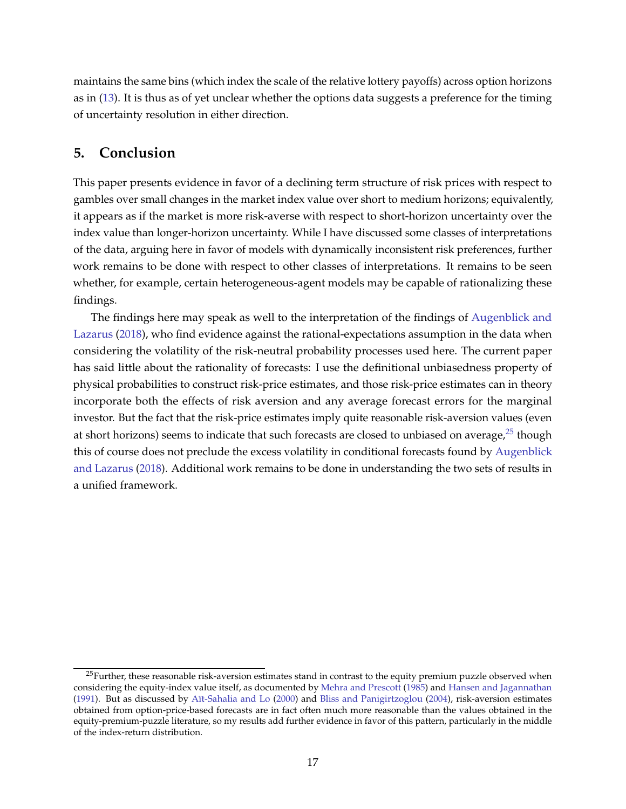maintains the same bins (which index the scale of the relative lottery payoffs) across option horizons as in [\(13\)](#page-9-3). It is thus as of yet unclear whether the options data suggests a preference for the timing of uncertainty resolution in either direction.

# <span id="page-17-0"></span>**5. Conclusion**

This paper presents evidence in favor of a declining term structure of risk prices with respect to gambles over small changes in the market index value over short to medium horizons; equivalently, it appears as if the market is more risk-averse with respect to short-horizon uncertainty over the index value than longer-horizon uncertainty. While I have discussed some classes of interpretations of the data, arguing here in favor of models with dynamically inconsistent risk preferences, further work remains to be done with respect to other classes of interpretations. It remains to be seen whether, for example, certain heterogeneous-agent models may be capable of rationalizing these findings.

The findings here may speak as well to the interpretation of the findings of [Augenblick and](#page-23-5) [Lazarus](#page-23-5) [\(2018\)](#page-23-5), who find evidence against the rational-expectations assumption in the data when considering the volatility of the risk-neutral probability processes used here. The current paper has said little about the rationality of forecasts: I use the definitional unbiasedness property of physical probabilities to construct risk-price estimates, and those risk-price estimates can in theory incorporate both the effects of risk aversion and any average forecast errors for the marginal investor. But the fact that the risk-price estimates imply quite reasonable risk-aversion values (even at short horizons) seems to indicate that such forecasts are closed to unbiased on average, $25$  though this of course does not preclude the excess volatility in conditional forecasts found by [Augenblick](#page-23-5) [and Lazarus](#page-23-5) [\(2018\)](#page-23-5). Additional work remains to be done in understanding the two sets of results in a unified framework.

<span id="page-17-1"></span><sup>&</sup>lt;sup>25</sup>Further, these reasonable risk-aversion estimates stand in contrast to the equity premium puzzle observed when considering the equity-index value itself, as documented by [Mehra and Prescott](#page-25-16) [\(1985\)](#page-25-16) and [Hansen and Jagannathan](#page-24-5) [\(1991\)](#page-24-5). But as discussed by [A¨ıt-Sahalia and Lo](#page-23-17) [\(2000\)](#page-23-17) and [Bliss and Panigirtzoglou](#page-23-7) [\(2004\)](#page-23-7), risk-aversion estimates obtained from option-price-based forecasts are in fact often much more reasonable than the values obtained in the equity-premium-puzzle literature, so my results add further evidence in favor of this pattern, particularly in the middle of the index-return distribution.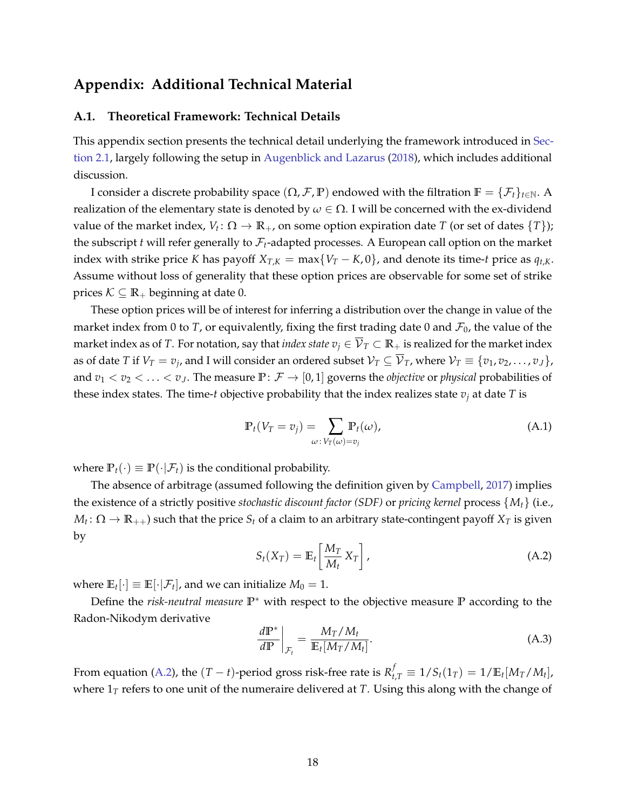# <span id="page-18-0"></span>**Appendix: Additional Technical Material**

### <span id="page-18-1"></span>**A.1. Theoretical Framework: Technical Details**

This appendix section presents the technical detail underlying the framework introduced in [Sec](#page-4-1)[tion 2.1,](#page-4-1) largely following the setup in [Augenblick and Lazarus](#page-23-5) [\(2018\)](#page-23-5), which includes additional discussion.

I consider a discrete probability space  $(\Omega, \mathcal{F}, \mathbb{P})$  endowed with the filtration  $\mathbb{F} = {\{\mathcal{F}_t\}}_{t \in \mathbb{N}}$ . A realization of the elementary state is denoted by  $ω ∈ Ω$ . I will be concerned with the ex-dividend value of the market index,  $V_t \colon \Omega \to \mathbb{R}_+$ , on some option expiration date *T* (or set of dates  $\{T\}$ ); the subscript  $t$  will refer generally to  $\mathcal{F}_t$ -adapted processes. A European call option on the market index with strike price *K* has payoff  $X_{T,K} = \max\{V_T - K, 0\}$ , and denote its time-*t* price as  $q_{t,K}$ . Assume without loss of generality that these option prices are observable for some set of strike prices  $K \subseteq \mathbb{R}_+$  beginning at date 0.

These option prices will be of interest for inferring a distribution over the change in value of the market index from 0 to *T*, or equivalently, fixing the first trading date 0 and  $\mathcal{F}_0$ , the value of the market index as of *T*. For notation, say that *index state*  $v_j \in \overline{V}_T \subset \mathbb{R}_+$  is realized for the market index as of date  $T$  if  $V_T=v_j$ , and I will consider an ordered subset  $\mathcal{V}_T\subseteq\overline{\mathcal{V}}_T$ , where  $\mathcal{V}_T\equiv\{v_1,v_2,\ldots,v_J\}$ , and  $v_1 < v_2 < \ldots < v_J$ . The measure  $\mathbb{P}: \mathcal{F} \to [0,1]$  governs the *objective* or *physical* probabilities of these index states. The time-*t* objective probability that the index realizes state  $v_j$  at date  $T$  is

<span id="page-18-4"></span>
$$
\mathbb{P}_t(V_T = v_j) = \sum_{\omega \colon V_T(\omega) = v_j} \mathbb{P}_t(\omega),\tag{A.1}
$$

where  $\mathbb{P}_t(\cdot) \equiv \mathbb{P}(\cdot | \mathcal{F}_t)$  is the conditional probability.

The absence of arbitrage (assumed following the definition given by [Campbell,](#page-24-7) [2017\)](#page-24-7) implies the existence of a strictly positive *stochastic discount factor (SDF)* or *pricing kernel* process {*Mt*} (i.e.,  $M_t\colon\Omega\to\mathbb R_{++})$  such that the price  $S_t$  of a claim to an arbitrary state-contingent payoff  $X_T$  is given by

<span id="page-18-2"></span>
$$
S_t(X_T) = \mathbb{E}_t \left[ \frac{M_T}{M_t} X_T \right], \tag{A.2}
$$

where  $\mathbb{E}_{t}[\cdot] \equiv \mathbb{E}[\cdot|\mathcal{F}_{t}]$ , and we can initialize  $M_{0} = 1$ .

Define the *risk-neutral measure* **P**<sup>∗</sup> with respect to the objective measure **P** according to the Radon-Nikodym derivative

<span id="page-18-3"></span>
$$
\left. \frac{d\mathbb{P}^*}{d\mathbb{P}} \right|_{\mathcal{F}_t} = \frac{M_T/M_t}{\mathbb{E}_t[M_T/M_t]}.
$$
\n(A.3)

From equation [\(A.2\)](#page-18-2), the  $(T - t)$ -period gross risk-free rate is  $R_{t,T}^f \equiv 1/S_t(1_T) = 1/\mathbb{E}_t[M_T/M_t]$ , where  $1<sub>T</sub>$  refers to one unit of the numeraire delivered at *T*. Using this along with the change of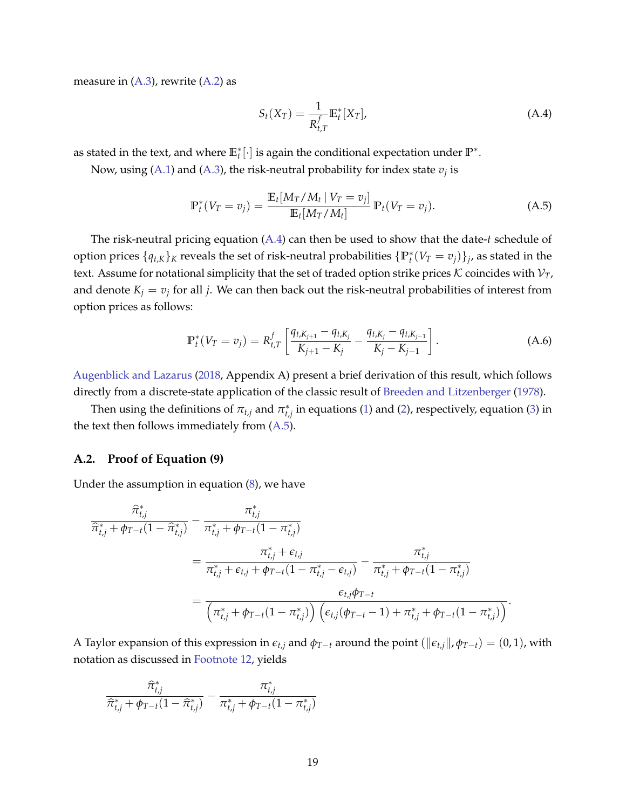measure in  $(A.3)$ , rewrite  $(A.2)$  as

<span id="page-19-2"></span><span id="page-19-1"></span>
$$
S_t(X_T) = \frac{1}{R_{t,T}^f} \mathbb{E}_t^*[X_T], \tag{A.4}
$$

as stated in the text, and where  $\mathbb{E}_t^*[\cdot]$  is again the conditional expectation under  $\mathbb{P}^*$ .

Now, using [\(A.1\)](#page-18-4) and [\(A.3\)](#page-18-3), the risk-neutral probability for index state  $v_j$  is

$$
\mathbb{P}_{t}^{*}(V_{T} = v_{j}) = \frac{\mathbb{E}_{t}[M_{T}/M_{t} | V_{T} = v_{j}]}{\mathbb{E}_{t}[M_{T}/M_{t}]} \mathbb{P}_{t}(V_{T} = v_{j}).
$$
\n(A.5)

The risk-neutral pricing equation [\(A.4\)](#page-19-1) can then be used to show that the date-*t* schedule of option prices  $\{q_{t,K}\}_K$  reveals the set of risk-neutral probabilities  $\{\mathbb{P}_t^*(V_T = v_j)\}_j$ , as stated in the text. Assume for notational simplicity that the set of traded option strike prices  $K$  coincides with  $V_T$ , and denote  $K_j = v_j$  for all *j*. We can then back out the risk-neutral probabilities of interest from option prices as follows:

<span id="page-19-3"></span>
$$
\mathbb{P}_t^*(V_T = v_j) = R_{t,T}^f \left[ \frac{q_{t,K_{j+1}} - q_{t,K_j}}{K_{j+1} - K_j} - \frac{q_{t,K_j} - q_{t,K_{j-1}}}{K_j - K_{j-1}} \right].
$$
\n(A.6)

[Augenblick and Lazarus](#page-23-5) [\(2018,](#page-23-5) Appendix A) present a brief derivation of this result, which follows directly from a discrete-state application of the classic result of [Breeden and Litzenberger](#page-23-11) [\(1978\)](#page-23-11).

Then using the definitions of  $\pi_{t,j}$  and  $\pi^*_{t,j}$  in equations [\(1\)](#page-4-4) and [\(2\)](#page-4-6), respectively, equation [\(3\)](#page-4-7) in the text then follows immediately from [\(A.5\)](#page-19-2).

### <span id="page-19-0"></span>**A.2. Proof of [Equation \(9\)](#page-7-5)**

Under the assumption in equation [\(8\)](#page-7-3), we have

$$
\begin{split} \frac{\widehat{\pi}_{t,j}^*}{\widehat{\pi}_{t,j}^* + \phi_{T-t}(1 - \widehat{\pi}_{t,j}^*)} - \frac{\pi_{t,j}^*}{\pi_{t,j}^* + \phi_{T-t}(1 - \pi_{t,j}^*)} \\ &= \frac{\pi_{t,j}^* + \epsilon_{t,j}}{\pi_{t,j}^* + \epsilon_{t,j} + \phi_{T-t}(1 - \pi_{t,j}^*)} - \frac{\pi_{t,j}^*}{\pi_{t,j}^* + \phi_{T-t}(1 - \pi_{t,j}^*)} \\ &= \frac{\epsilon_{t,j}\phi_{T-t}}{\left(\pi_{t,j}^* + \phi_{T-t}(1 - \pi_{t,j}^*)\right)\left(\epsilon_{t,j}(\phi_{T-t} - 1) + \pi_{t,j}^* + \phi_{T-t}(1 - \pi_{t,j}^*)\right)}. \end{split}
$$

A Taylor expansion of this expression in  $\epsilon_{t,j}$  and  $\phi_{T-t}$  around the point ( $||\epsilon_{t,j}||$ ,  $\phi_{T-t}$ ) = (0, 1), with notation as discussed in [Footnote 12,](#page-7-1) yields

$$
\frac{\widehat{\pi}^*_{t,j}}{\widehat{\pi}^*_{t,j} + \phi_{T-t}(1-\widehat{\pi}^*_{t,j})} - \frac{\pi^*_{t,j}}{\pi^*_{t,j} + \phi_{T-t}(1-\pi^*_{t,j})}
$$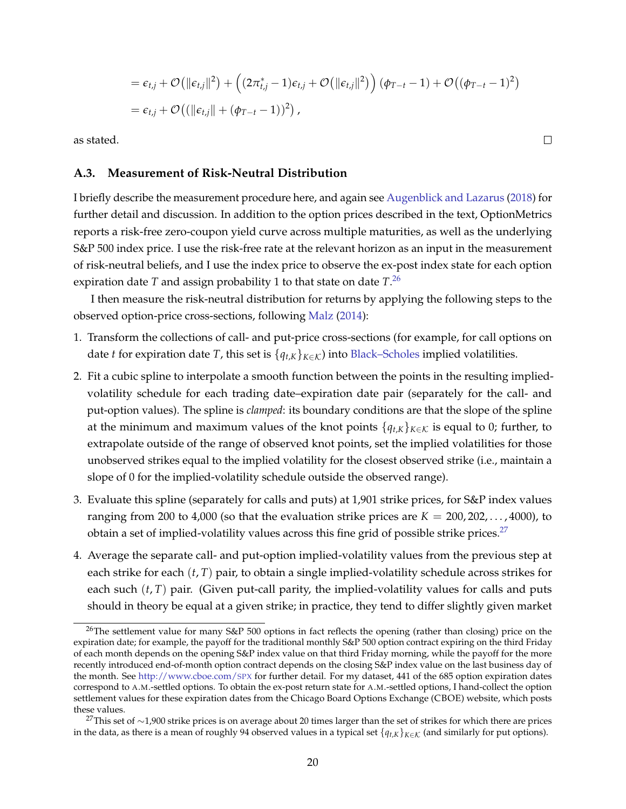$$
= \epsilon_{t,j} + \mathcal{O}(\|\epsilon_{t,j}\|^2) + \left( (2\pi_{t,j}^* - 1)\epsilon_{t,j} + \mathcal{O}(\|\epsilon_{t,j}\|^2) \right) (\phi_{T-t} - 1) + \mathcal{O}((\phi_{T-t} - 1)^2)
$$
  
=  $\epsilon_{t,j} + \mathcal{O}((\|\epsilon_{t,j}\| + (\phi_{T-t} - 1))^2),$ 

as stated.

#### <span id="page-20-0"></span>**A.3. Measurement of Risk-Neutral Distribution**

I briefly describe the measurement procedure here, and again see [Augenblick and Lazarus](#page-23-5) [\(2018\)](#page-23-5) for further detail and discussion. In addition to the option prices described in the text, OptionMetrics reports a risk-free zero-coupon yield curve across multiple maturities, as well as the underlying S&P 500 index price. I use the risk-free rate at the relevant horizon as an input in the measurement of risk-neutral beliefs, and I use the index price to observe the ex-post index state for each option expiration date *T* and assign probability 1 to that state on date *T*. [26](#page-20-1)

I then measure the risk-neutral distribution for returns by applying the following steps to the observed option-price cross-sections, following [Malz](#page-25-9) [\(2014\)](#page-25-9):

- 1. Transform the collections of call- and put-price cross-sections (for example, for call options on date *t* for expiration date *T*, this set is  $\{q_{t,K}\}_{K \in \mathcal{K}}$  into [Black–Scholes](#page-23-12) implied volatilities.
- <span id="page-20-3"></span>2. Fit a cubic spline to interpolate a smooth function between the points in the resulting impliedvolatility schedule for each trading date–expiration date pair (separately for the call- and put-option values). The spline is *clamped*: its boundary conditions are that the slope of the spline at the minimum and maximum values of the knot points  ${q_{t,K}}_{K \in K}$  is equal to 0; further, to extrapolate outside of the range of observed knot points, set the implied volatilities for those unobserved strikes equal to the implied volatility for the closest observed strike (i.e., maintain a slope of 0 for the implied-volatility schedule outside the observed range).
- 3. Evaluate this spline (separately for calls and puts) at 1,901 strike prices, for S&P index values ranging from 200 to 4,000 (so that the evaluation strike prices are  $K = 200, 202, \ldots, 4000$ ), to obtain a set of implied-volatility values across this fine grid of possible strike prices.<sup>[27](#page-20-2)</sup>
- 4. Average the separate call- and put-option implied-volatility values from the previous step at each strike for each (*t*, *T*) pair, to obtain a single implied-volatility schedule across strikes for each such  $(t, T)$  pair. (Given put-call parity, the implied-volatility values for calls and puts should in theory be equal at a given strike; in practice, they tend to differ slightly given market

 $\Box$ 

<span id="page-20-1"></span><sup>&</sup>lt;sup>26</sup>The settlement value for many S&P 500 options in fact reflects the opening (rather than closing) price on the expiration date; for example, the payoff for the traditional monthly S&P 500 option contract expiring on the third Friday of each month depends on the opening S&P index value on that third Friday morning, while the payoff for the more recently introduced end-of-month option contract depends on the closing S&P index value on the last business day of the month. See [http://www.cboe.com/](http://www.cboe.com/spx)SPX for further detail. For my dataset, 441 of the 685 option expiration dates correspond to A.M.-settled options. To obtain the ex-post return state for A.M.-settled options, I hand-collect the option settlement values for these expiration dates from the Chicago Board Options Exchange (CBOE) website, which posts these values.

<span id="page-20-2"></span><sup>&</sup>lt;sup>27</sup>This set of ∼1,900 strike prices is on average about 20 times larger than the set of strikes for which there are prices in the data, as there is a mean of roughly 94 observed values in a typical set  $\{q_{t,k}\}_{k \in \mathcal{K}}$  (and similarly for put options).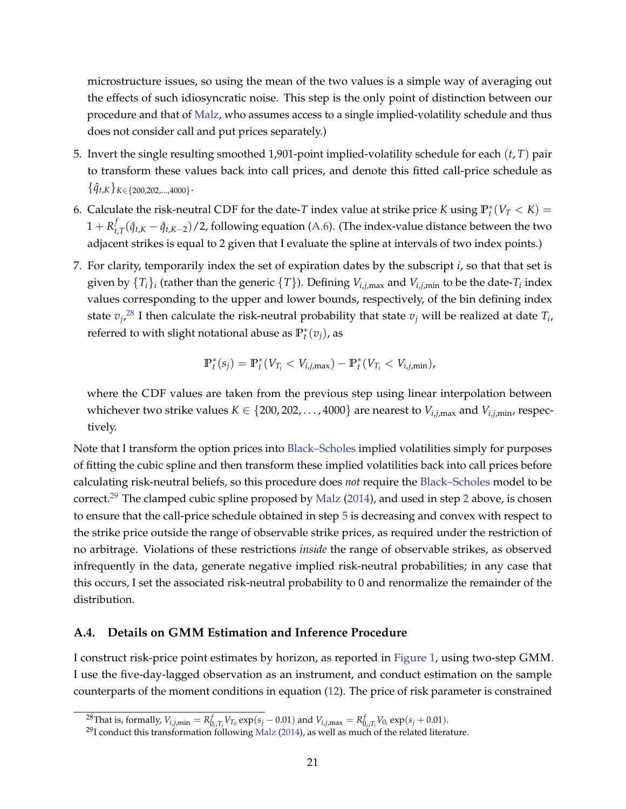microstructure issues, so using the mean of the two values is a simple way of averaging out the effects of such idiosyncratic noise. This step is the only point of distinction between our procedure and that of [Malz,](#page-25-9) who assumes access to a single implied-volatility schedule and thus does not consider call and put prices separately.)

- <span id="page-21-3"></span>5. Invert the single resulting smoothed 1,901-point implied-volatility schedule for each (*t*, *T*) pair to transform these values back into call prices, and denote this fitted call-price schedule as  $\{\hat{q}_{t,K}\}_{K \in \{200, 202, ..., 4000\}}$ .
- 6. Calculate the risk-neutral CDF for the date-*T* index value at strike price *K* using  $\mathbb{P}_t^*(V_T < K)$  =  $1 + R_t^f$ *t*<sub>*t*</sub>,*T*( $\hat{q}_{t,K} - \hat{q}_{t,K-2}$ )/2, following equation [\(A.6\)](#page-19-3). (The index-value distance between the two adjacent strikes is equal to 2 given that I evaluate the spline at intervals of two index points.)
- 7. For clarity, temporarily index the set of expiration dates by the subscript *i*, so that that set is given by  $\{T_i\}_i$  (rather than the generic  $\{T\}$ ). Defining  $V_{i,j,\max}$  and  $V_{i,j,\min}$  to be the date- $T_i$  index values corresponding to the upper and lower bounds, respectively, of the bin defining index state  $v_j$ , $^{28}$  $^{28}$  $^{28}$  I then calculate the risk-neutral probability that state  $v_j$  will be realized at date  $T_i$ , referred to with slight notational abuse as  $\mathbb{P}_t^*(v_j)$ , as

$$
\mathbb{P}_t^*(s_j) = \mathbb{P}_t^*(V_{T_i} < V_{i,j,\text{max}}) - \mathbb{P}_t^*(V_{T_i} < V_{i,j,\text{min}}),
$$

where the CDF values are taken from the previous step using linear interpolation between whichever two strike values  $K \in \{200, 202, \ldots, 4000\}$  are nearest to  $V_{i,j,\max}$  and  $V_{i,j,\min}$ , respectively.

Note that I transform the option prices into [Black–Scholes](#page-23-12) implied volatilities simply for purposes of fitting the cubic spline and then transform these implied volatilities back into call prices before calculating risk-neutral beliefs, so this procedure does *not* require the [Black–Scholes](#page-23-12) model to be correct.<sup>[29](#page-21-2)</sup> The clamped cubic spline proposed by [Malz](#page-25-9) [\(2014\)](#page-25-9), and used in step [2](#page-20-3) above, is chosen to ensure that the call-price schedule obtained in step [5](#page-21-3) is decreasing and convex with respect to the strike price outside the range of observable strike prices, as required under the restriction of no arbitrage. Violations of these restrictions *inside* the range of observable strikes, as observed infrequently in the data, generate negative implied risk-neutral probabilities; in any case that this occurs, I set the associated risk-neutral probability to 0 and renormalize the remainder of the distribution.

### <span id="page-21-0"></span>**A.4. Details on GMM Estimation and Inference Procedure**

I construct risk-price point estimates by horizon, as reported in [Figure 1,](#page-11-0) using two-step GMM. I use the five-day-lagged observation as an instrument, and conduct estimation on the sample counterparts of the moment conditions in equation [\(12\)](#page-8-1). The price of risk parameter is constrained

<span id="page-21-1"></span> $^{28}$ That is, formally,  $V_{i,j,\text{min}} = R_{0_i,T_i}^f V_{T_0} \exp(s_j - 0.01)$  and  $V_{i,j,\text{max}} = R_{0_i,T_i}^f V_{0_i} \exp(s_j + 0.01)$ .

<span id="page-21-2"></span><sup>&</sup>lt;sup>29</sup>I conduct this transformation following [Malz](#page-25-9) [\(2014\)](#page-25-9), as well as much of the related literature.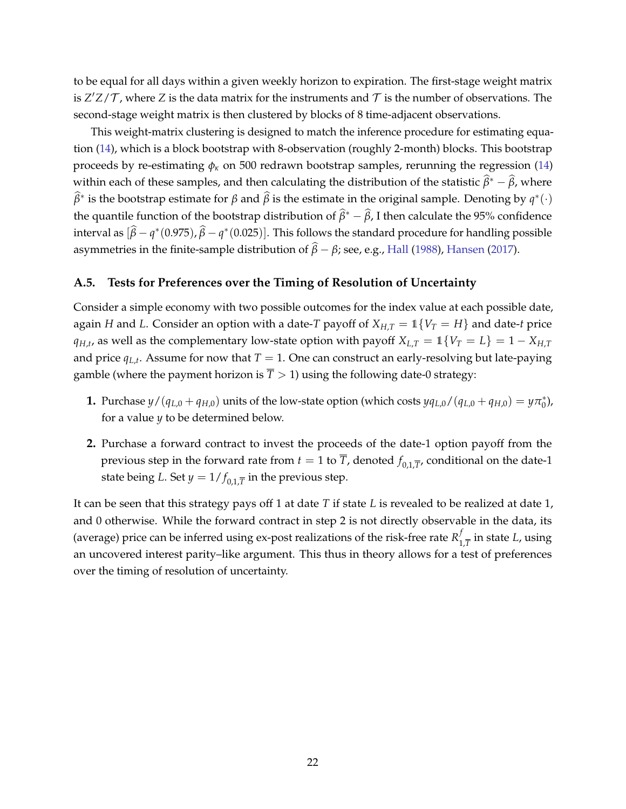to be equal for all days within a given weekly horizon to expiration. The first-stage weight matrix is  $Z'Z/\mathcal{T}$ , where  $Z$  is the data matrix for the instruments and  $\mathcal{T}$  is the number of observations. The second-stage weight matrix is then clustered by blocks of 8 time-adjacent observations.

This weight-matrix clustering is designed to match the inference procedure for estimating equation [\(14\)](#page-11-2), which is a block bootstrap with 8-observation (roughly 2-month) blocks. This bootstrap proceeds by re-estimating  $\phi_k$  on 500 redrawn bootstrap samples, rerunning the regression [\(14\)](#page-11-2) within each of these samples, and then calculating the distribution of the statistic  $\hat{\beta}^* - \hat{\beta}$ , where  $\widehat{\beta}^*$  is the bootstrap estimate for  $\beta$  and  $\widehat{\beta}$  is the estimate in the original sample. Denoting by  $q^*(\cdot)$ the quantile function of the bootstrap distribution of  $\hat{\beta}^* - \hat{\beta}$ , I then calculate the 95% confidence interval as  $[\hat{\beta}-q^*(0.975), \hat{\beta}-q^*(0.025)]$ . This follows the standard procedure for handling possible asymmetries in the finite-sample distribution of  $\hat{\beta} - \beta$ ; see, e.g., [Hall](#page-24-19) [\(1988\)](#page-24-19), [Hansen](#page-24-20) [\(2017\)](#page-24-20).

### <span id="page-22-0"></span>**A.5. Tests for Preferences over the Timing of Resolution of Uncertainty**

Consider a simple economy with two possible outcomes for the index value at each possible date, again *H* and *L*. Consider an option with a date-*T* payoff of  $X_{H,T} = \mathbb{1}\{V_T = H\}$  and date-*t* price *q*<sub>*H*</sub>,*t*, as well as the complementary low-state option with payoff  $X_{L,T} = 1$  {*V*<sub>*T*</sub> = *L*} = 1 – *X*<sub>*H*</sub>*T* and price  $q_{L,t}$ . Assume for now that  $T = 1$ . One can construct an early-resolving but late-paying gamble (where the payment horizon is  $\overline{T}$  > 1) using the following date-0 strategy:

- **1.** Purchase  $y/(q_{L,0} + q_{H,0})$  units of the low-state option (which costs  $yq_{L,0}/(q_{L,0} + q_{H,0}) = y\pi_0^*$ ), for a value *y* to be determined below.
- **2.** Purchase a forward contract to invest the proceeds of the date-1 option payoff from the previous step in the forward rate from  $t = 1$  to  $\overline{T}$ , denoted  $f_{0,1,\overline{T}}$ , conditional on the date-1 state being *L*. Set  $y = 1/f_{0,1,\overline{T}}$  in the previous step.

It can be seen that this strategy pays off 1 at date *T* if state *L* is revealed to be realized at date 1, and 0 otherwise. While the forward contract in step 2 is not directly observable in the data, its (average) price can be inferred using ex-post realizations of the risk-free rate  $R_1^f$  $\int_{1,\overline{T}}^{J}$  in state *L*, using an uncovered interest parity–like argument. This thus in theory allows for a test of preferences over the timing of resolution of uncertainty.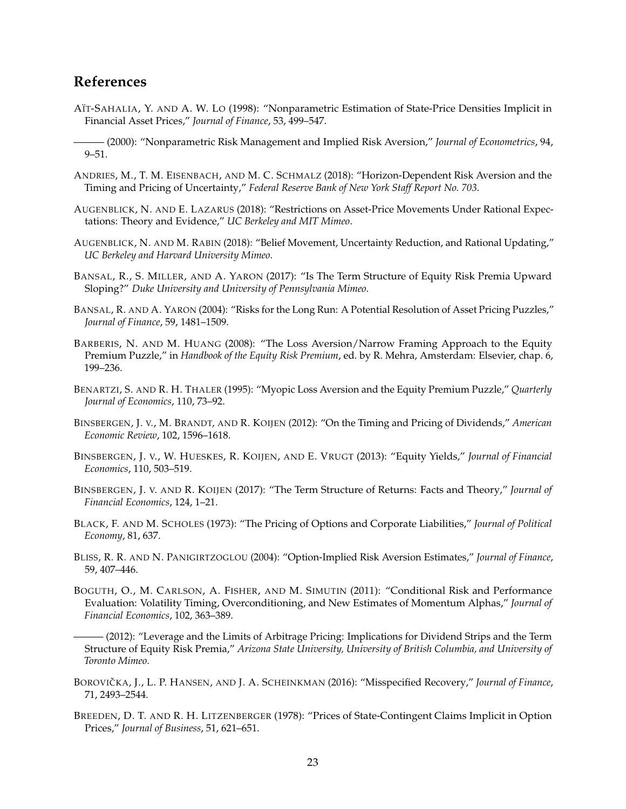# **References**

- <span id="page-23-8"></span>AÏT-SAHALIA, Y. AND A. W. LO (1998): "Nonparametric Estimation of State-Price Densities Implicit in Financial Asset Prices," *Journal of Finance*, 53, 499–547.
- <span id="page-23-17"></span>——— (2000): "Nonparametric Risk Management and Implied Risk Aversion," *Journal of Econometrics*, 94, 9–51.
- <span id="page-23-15"></span>ANDRIES, M., T. M. EISENBACH, AND M. C. SCHMALZ (2018): "Horizon-Dependent Risk Aversion and the Timing and Pricing of Uncertainty," *Federal Reserve Bank of New York Staff Report No. 703*.
- <span id="page-23-5"></span>AUGENBLICK, N. AND E. LAZARUS (2018): "Restrictions on Asset-Price Movements Under Rational Expectations: Theory and Evidence," *UC Berkeley and MIT Mimeo*.
- <span id="page-23-9"></span>AUGENBLICK, N. AND M. RABIN (2018): "Belief Movement, Uncertainty Reduction, and Rational Updating," *UC Berkeley and Harvard University Mimeo*.
- <span id="page-23-4"></span>BANSAL, R., S. MILLER, AND A. YARON (2017): "Is The Term Structure of Equity Risk Premia Upward Sloping?" *Duke University and University of Pennsylvania Mimeo*.
- <span id="page-23-14"></span>BANSAL, R. AND A. YARON (2004): "Risks for the Long Run: A Potential Resolution of Asset Pricing Puzzles," *Journal of Finance*, 59, 1481–1509.
- <span id="page-23-10"></span>BARBERIS, N. AND M. HUANG (2008): "The Loss Aversion/Narrow Framing Approach to the Equity Premium Puzzle," in *Handbook of the Equity Risk Premium*, ed. by R. Mehra, Amsterdam: Elsevier, chap. 6, 199–236.
- <span id="page-23-16"></span>BENARTZI, S. AND R. H. THALER (1995): "Myopic Loss Aversion and the Equity Premium Puzzle," *Quarterly Journal of Economics*, 110, 73–92.
- <span id="page-23-0"></span>BINSBERGEN, J. V., M. BRANDT, AND R. KOIJEN (2012): "On the Timing and Pricing of Dividends," *American Economic Review*, 102, 1596–1618.
- <span id="page-23-1"></span>BINSBERGEN, J. V., W. HUESKES, R. KOIJEN, AND E. VRUGT (2013): "Equity Yields," *Journal of Financial Economics*, 110, 503–519.
- <span id="page-23-2"></span>BINSBERGEN, J. V. AND R. KOIJEN (2017): "The Term Structure of Returns: Facts and Theory," *Journal of Financial Economics*, 124, 1–21.
- <span id="page-23-12"></span>BLACK, F. AND M. SCHOLES (1973): "The Pricing of Options and Corporate Liabilities," *Journal of Political Economy*, 81, 637.
- <span id="page-23-7"></span>BLISS, R. R. AND N. PANIGIRTZOGLOU (2004): "Option-Implied Risk Aversion Estimates," *Journal of Finance*, 59, 407–446.
- <span id="page-23-6"></span>BOGUTH, O., M. CARLSON, A. FISHER, AND M. SIMUTIN (2011): "Conditional Risk and Performance Evaluation: Volatility Timing, Overconditioning, and New Estimates of Momentum Alphas," *Journal of Financial Economics*, 102, 363–389.

<span id="page-23-3"></span>——— (2012): "Leverage and the Limits of Arbitrage Pricing: Implications for Dividend Strips and the Term Structure of Equity Risk Premia," *Arizona State University, University of British Columbia, and University of Toronto Mimeo*.

- <span id="page-23-13"></span>BOROVIČKA, J., L. P. HANSEN, AND J. A. SCHEINKMAN (2016): "Misspecified Recovery," *Journal of Finance*, 71, 2493–2544.
- <span id="page-23-11"></span>BREEDEN, D. T. AND R. H. LITZENBERGER (1978): "Prices of State-Contingent Claims Implicit in Option Prices," *Journal of Business*, 51, 621–651.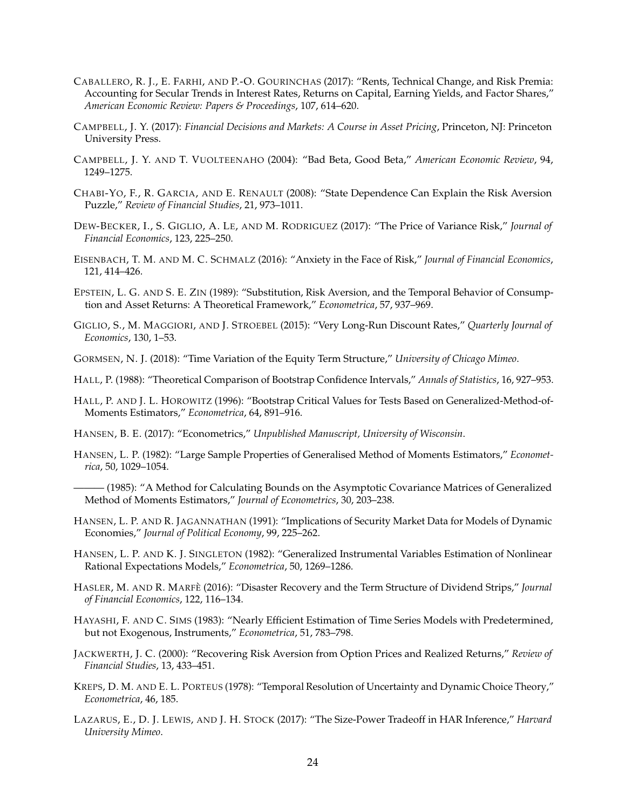- <span id="page-24-6"></span>CABALLERO, R. J., E. FARHI, AND P.-O. GOURINCHAS (2017): "Rents, Technical Change, and Risk Premia: Accounting for Secular Trends in Interest Rates, Returns on Capital, Earning Yields, and Factor Shares," *American Economic Review: Papers & Proceedings*, 107, 614–620.
- <span id="page-24-7"></span>CAMPBELL, J. Y. (2017): *Financial Decisions and Markets: A Course in Asset Pricing*, Princeton, NJ: Princeton University Press.
- <span id="page-24-0"></span>CAMPBELL, J. Y. AND T. VUOLTEENAHO (2004): "Bad Beta, Good Beta," *American Economic Review*, 94, 1249–1275.
- <span id="page-24-9"></span>CHABI-YO, F., R. GARCIA, AND E. RENAULT (2008): "State Dependence Can Explain the Risk Aversion Puzzle," *Review of Financial Studies*, 21, 973–1011.
- <span id="page-24-4"></span>DEW-BECKER, I., S. GIGLIO, A. LE, AND M. RODRIGUEZ (2017): "The Price of Variance Risk," *Journal of Financial Economics*, 123, 225–250.
- <span id="page-24-16"></span>EISENBACH, T. M. AND M. C. SCHMALZ (2016): "Anxiety in the Face of Risk," *Journal of Financial Economics*, 121, 414–426.
- <span id="page-24-17"></span>EPSTEIN, L. G. AND S. E. ZIN (1989): "Substitution, Risk Aversion, and the Temporal Behavior of Consumption and Asset Returns: A Theoretical Framework," *Econometrica*, 57, 937–969.
- <span id="page-24-3"></span>GIGLIO, S., M. MAGGIORI, AND J. STROEBEL (2015): "Very Long-Run Discount Rates," *Quarterly Journal of Economics*, 130, 1–53.
- <span id="page-24-2"></span>GORMSEN, N. J. (2018): "Time Variation of the Equity Term Structure," *University of Chicago Mimeo*.
- <span id="page-24-19"></span>HALL, P. (1988): "Theoretical Comparison of Bootstrap Confidence Intervals," *Annals of Statistics*, 16, 927–953.
- <span id="page-24-14"></span>HALL, P. AND J. L. HOROWITZ (1996): "Bootstrap Critical Values for Tests Based on Generalized-Method-of-Moments Estimators," *Econometrica*, 64, 891–916.
- <span id="page-24-20"></span>HANSEN, B. E. (2017): "Econometrics," *Unpublished Manuscript, University of Wisconsin*.
- <span id="page-24-12"></span><span id="page-24-11"></span>HANSEN, L. P. (1982): "Large Sample Properties of Generalised Method of Moments Estimators," *Econometrica*, 50, 1029–1054.
	- ——— (1985): "A Method for Calculating Bounds on the Asymptotic Covariance Matrices of Generalized Method of Moments Estimators," *Journal of Econometrics*, 30, 203–238.
- <span id="page-24-5"></span>HANSEN, L. P. AND R. JAGANNATHAN (1991): "Implications of Security Market Data for Models of Dynamic Economies," *Journal of Political Economy*, 99, 225–262.
- <span id="page-24-13"></span>HANSEN, L. P. AND K. J. SINGLETON (1982): "Generalized Instrumental Variables Estimation of Nonlinear Rational Expectations Models," *Econometrica*, 50, 1269–1286.
- <span id="page-24-1"></span>HASLER, M. AND R. MARFE` (2016): "Disaster Recovery and the Term Structure of Dividend Strips," *Journal of Financial Economics*, 122, 116–134.
- <span id="page-24-10"></span>HAYASHI, F. AND C. SIMS (1983): "Nearly Efficient Estimation of Time Series Models with Predetermined, but not Exogenous, Instruments," *Econometrica*, 51, 783–798.
- <span id="page-24-8"></span>JACKWERTH, J. C. (2000): "Recovering Risk Aversion from Option Prices and Realized Returns," *Review of Financial Studies*, 13, 433–451.
- <span id="page-24-18"></span>KREPS, D. M. AND E. L. PORTEUS (1978): "Temporal Resolution of Uncertainty and Dynamic Choice Theory," *Econometrica*, 46, 185.
- <span id="page-24-15"></span>LAZARUS, E., D. J. LEWIS, AND J. H. STOCK (2017): "The Size-Power Tradeoff in HAR Inference," *Harvard University Mimeo*.